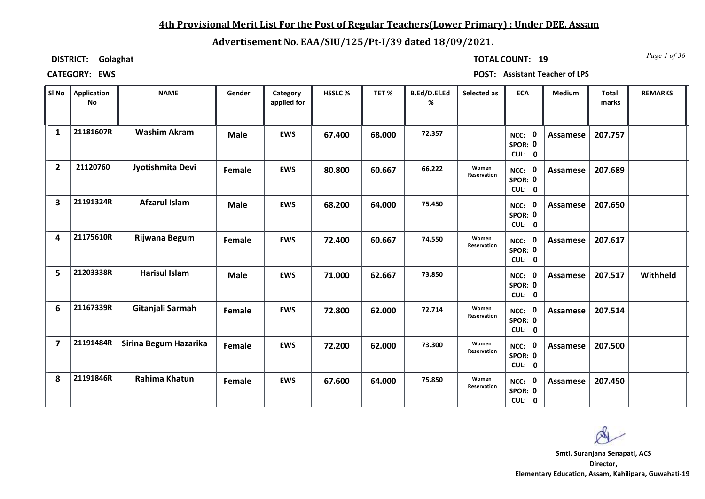# **4th Provisional Merit List For the Post of Regular Teachers(Lower Primary) : Under DEE, Assam**

# **Advertisement No. EAA/SIU/125/Pt-I/39 dated 18/09/2021.**

**DISTRICT: Golaghat**

*Page 1 of 36* **TOTAL COUNT: 19**

| SI No                   | Application<br><b>No</b> | <b>NAME</b>           | Gender        | Category<br>applied for | HSSLC% | TET%   | B.Ed/D.El.Ed<br>% | Selected as          | <b>ECA</b>                  | Medium          | <b>Total</b><br>marks | <b>REMARKS</b>  |
|-------------------------|--------------------------|-----------------------|---------------|-------------------------|--------|--------|-------------------|----------------------|-----------------------------|-----------------|-----------------------|-----------------|
| $\mathbf{1}$            | 21181607R                | <b>Washim Akram</b>   | <b>Male</b>   | <b>EWS</b>              | 67.400 | 68.000 | 72.357            |                      | NCC: 0<br>SPOR: 0<br>CUL: 0 | <b>Assamese</b> | 207.757               |                 |
| $\overline{2}$          | 21120760                 | Jyotishmita Devi      | Female        | <b>EWS</b>              | 80.800 | 60.667 | 66.222            | Women<br>Reservation | NCC: 0<br>SPOR: 0<br>CUL: 0 | Assamese        | 207.689               |                 |
| 3                       | 21191324R                | <b>Afzarul Islam</b>  | <b>Male</b>   | <b>EWS</b>              | 68.200 | 64.000 | 75.450            |                      | NCC: 0<br>SPOR: 0<br>CUL: 0 | <b>Assamese</b> | 207.650               |                 |
| 4                       | 21175610R                | Rijwana Begum         | Female        | <b>EWS</b>              | 72.400 | 60.667 | 74.550            | Women<br>Reservation | NCC: 0<br>SPOR: 0<br>CUL: 0 | Assamese        | 207.617               |                 |
| 5                       | 21203338R                | <b>Harisul Islam</b>  | <b>Male</b>   | <b>EWS</b>              | 71.000 | 62.667 | 73.850            |                      | NCC: 0<br>SPOR: 0<br>CUL: 0 | Assamese        | 207.517               | <b>Withheld</b> |
| 6                       | 21167339R                | Gitanjali Sarmah      | Female        | <b>EWS</b>              | 72.800 | 62.000 | 72.714            | Women<br>Reservation | NCC: 0<br>SPOR: 0<br>CUL: 0 | Assamese        | 207.514               |                 |
| $\overline{\mathbf{z}}$ | 21191484R                | Sirina Begum Hazarika | Female        | <b>EWS</b>              | 72.200 | 62.000 | 73.300            | Women<br>Reservation | NCC: 0<br>SPOR: 0<br>CUL: 0 | Assamese        | 207.500               |                 |
| 8                       | 21191846R                | Rahima Khatun         | <b>Female</b> | <b>EWS</b>              | 67.600 | 64.000 | 75.850            | Women<br>Reservation | NCC: 0<br>SPOR: 0<br>CUL: 0 | Assamese        | 207.450               |                 |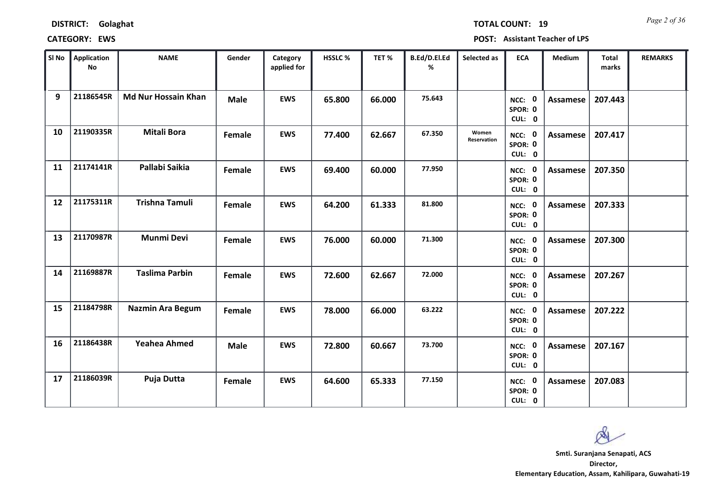*Page 2 of 36* **TOTAL COUNT: 19**

| SI <sub>No</sub> | Application<br>No | <b>NAME</b>                | Gender      | Category<br>applied for | <b>HSSLC %</b> | TET %  | B.Ed/D.El.Ed<br>% | Selected as          | <b>ECA</b>                  | <b>Medium</b>   | Total<br>marks | <b>REMARKS</b> |
|------------------|-------------------|----------------------------|-------------|-------------------------|----------------|--------|-------------------|----------------------|-----------------------------|-----------------|----------------|----------------|
| 9                | 21186545R         | <b>Md Nur Hossain Khan</b> | <b>Male</b> | <b>EWS</b>              | 65.800         | 66.000 | 75.643            |                      | NCC: 0<br>SPOR: 0<br>CUL: 0 | <b>Assamese</b> | 207.443        |                |
| 10               | 21190335R         | <b>Mitali Bora</b>         | Female      | <b>EWS</b>              | 77.400         | 62.667 | 67.350            | Women<br>Reservation | NCC: 0<br>SPOR: 0<br>CUL: 0 | Assamese        | 207.417        |                |
| 11               | 21174141R         | Pallabi Saikia             | Female      | <b>EWS</b>              | 69.400         | 60.000 | 77.950            |                      | NCC: 0<br>SPOR: 0<br>CUL: 0 | <b>Assamese</b> | 207.350        |                |
| 12               | 21175311R         | <b>Trishna Tamuli</b>      | Female      | <b>EWS</b>              | 64.200         | 61.333 | 81.800            |                      | NCC: 0<br>SPOR: 0<br>CUL: 0 | Assamese        | 207.333        |                |
| 13               | 21170987R         | <b>Munmi Devi</b>          | Female      | <b>EWS</b>              | 76.000         | 60.000 | 71.300            |                      | NCC: 0<br>SPOR: 0<br>CUL: 0 | <b>Assamese</b> | 207.300        |                |
| 14               | 21169887R         | <b>Taslima Parbin</b>      | Female      | <b>EWS</b>              | 72.600         | 62.667 | 72.000            |                      | NCC: 0<br>SPOR: 0<br>CUL: 0 | <b>Assamese</b> | 207.267        |                |
| 15               | 21184798R         | <b>Nazmin Ara Begum</b>    | Female      | <b>EWS</b>              | 78.000         | 66.000 | 63.222            |                      | NCC: 0<br>SPOR: 0<br>CUL: 0 | <b>Assamese</b> | 207.222        |                |
| 16               | 21186438R         | <b>Yeahea Ahmed</b>        | <b>Male</b> | <b>EWS</b>              | 72.800         | 60.667 | 73.700            |                      | NCC: 0<br>SPOR: 0<br>CUL: 0 | <b>Assamese</b> | 207.167        |                |
| 17               | 21186039R         | Puja Dutta                 | Female      | <b>EWS</b>              | 64.600         | 65.333 | 77.150            |                      | NCC: 0<br>SPOR: 0<br>CUL: 0 | Assamese        | 207.083        |                |

 $\infty$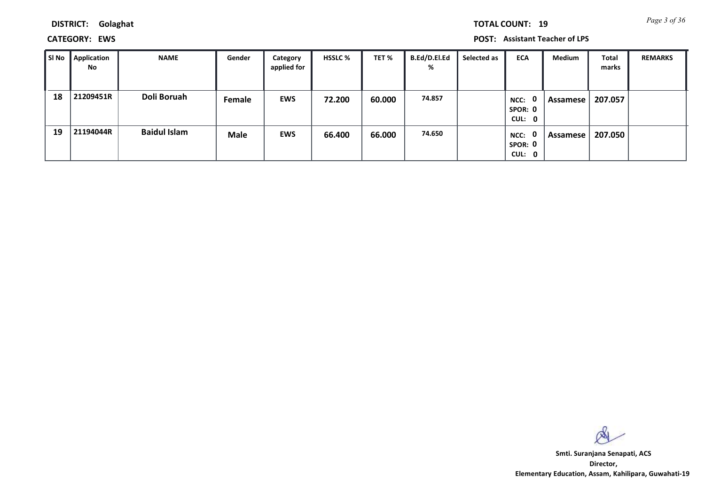**CATEGORY: EWS POST: Assistant Teacher of LPS**

| l SI No | Application<br><b>No</b> | <b>NAME</b>         | Gender        | Category<br>applied for | <b>HSSLC %</b> | TET %  | <b>B.Ed/D.El.Ed</b><br>% | Selected as | <b>ECA</b>                                | Medium   | <b>Total</b><br>marks | <b>REMARKS</b> |
|---------|--------------------------|---------------------|---------------|-------------------------|----------------|--------|--------------------------|-------------|-------------------------------------------|----------|-----------------------|----------------|
| 18      | 21209451R                | Doli Boruah         | <b>Female</b> | <b>EWS</b>              | 72.200         | 60.000 | 74.857                   |             | 0<br>NCC:<br>SPOR: 0<br>CUL: 0            | Assamese | 207.057               |                |
| 19      | 21194044R                | <b>Baidul Islam</b> | <b>Male</b>   | <b>EWS</b>              | 66.400         | 66.000 | 74.650                   |             | $\mathbf{0}$<br>NCC:<br>SPOR: 0<br>CUL: 0 | Assamese | 207.050               |                |

 $\infty$ 

**Director, Elementary Education, Assam, Kahilipara, Guwahati-19 Smti. Suranjana Senapati, ACS**

*Page 3 of 36* **TOTAL COUNT: 19**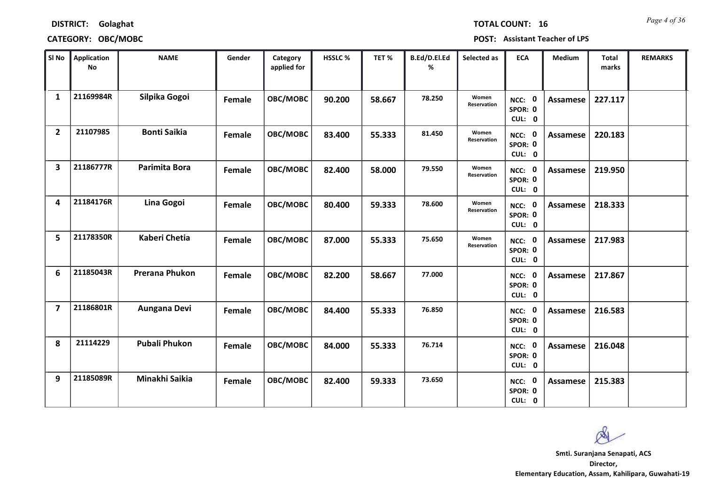**CATEGORY: OBC/MOBC POST: Assistant Teacher of LPS**

| SI No          | <b>Application</b><br>No | <b>NAME</b>           | Gender | Category<br>applied for | <b>HSSLC%</b> | TET %  | B.Ed/D.El.Ed<br>% | Selected as          | <b>ECA</b>                        | <b>Medium</b>   | <b>Total</b><br>marks | <b>REMARKS</b> |
|----------------|--------------------------|-----------------------|--------|-------------------------|---------------|--------|-------------------|----------------------|-----------------------------------|-----------------|-----------------------|----------------|
| 1              | 21169984R                | Silpika Gogoi         | Female | OBC/MOBC                | 90.200        | 58.667 | 78.250            | Women<br>Reservation | 0<br>NCC:<br>SPOR: 0<br>CUL: 0    | <b>Assamese</b> | 227.117               |                |
| $\overline{2}$ | 21107985                 | <b>Bonti Saikia</b>   | Female | OBC/MOBC                | 83.400        | 55.333 | 81.450            | Women<br>Reservation | 0<br>NCC:<br>SPOR: 0<br>CUL: 0    | Assamese        | 220.183               |                |
| 3              | 21186777R                | <b>Parimita Bora</b>  | Female | OBC/MOBC                | 82.400        | 58.000 | 79.550            | Women<br>Reservation | NCC: 0<br>SPOR: 0<br>CUL: 0       | Assamese        | 219.950               |                |
| 4              | 21184176R                | Lina Gogoi            | Female | OBC/MOBC                | 80.400        | 59.333 | 78.600            | Women<br>Reservation | NCC: 0<br>SPOR: 0<br>CUL: 0       | <b>Assamese</b> | 218.333               |                |
| 5              | 21178350R                | <b>Kaberi Chetia</b>  | Female | OBC/MOBC                | 87.000        | 55.333 | 75.650            | Women<br>Reservation | NCC: 0<br>SPOR: 0<br>CUL: 0       | Assamese        | 217.983               |                |
| 6              | 21185043R                | <b>Prerana Phukon</b> | Female | OBC/MOBC                | 82.200        | 58.667 | 77.000            |                      | 0<br>NCC:<br>SPOR: 0<br>CUL: 0    | Assamese        | 217.867               |                |
| $\overline{7}$ | 21186801R                | Aungana Devi          | Female | OBC/MOBC                | 84.400        | 55.333 | 76.850            |                      | 0<br>$NCC$ :<br>SPOR: 0<br>CUL: 0 | Assamese        | 216.583               |                |
| 8              | 21114229                 | <b>Pubali Phukon</b>  | Female | OBC/MOBC                | 84.000        | 55.333 | 76.714            |                      | 0<br>NCC:<br>SPOR: 0<br>CUL: 0    | Assamese        | 216.048               |                |
| 9              | 21185089R                | Minakhi Saikia        | Female | OBC/MOBC                | 82.400        | 59.333 | 73.650            |                      | NCC: 0<br>SPOR: 0<br>CUL: 0       | Assamese        | 215.383               |                |

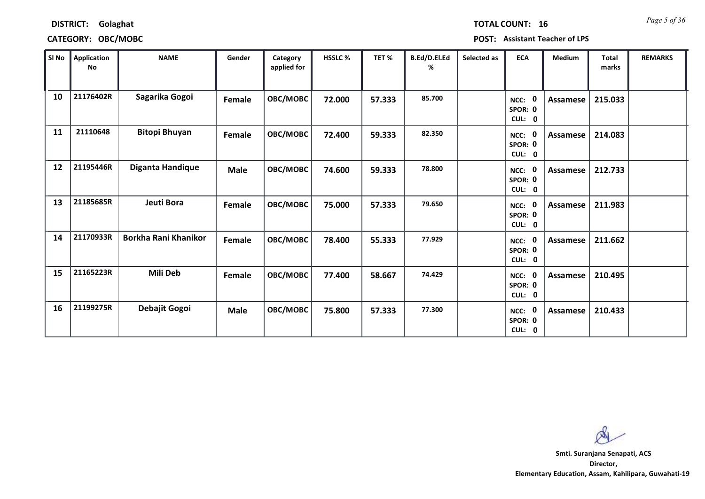| <b>TOTAL COUNT:</b> |  |   |
|---------------------|--|---|
|                     |  | 1 |

## **CATEGORY: OBC/MOBC POST: Assistant Teacher of LPS**

| SI No | <b>Application</b><br>No | <b>NAME</b>                 | Gender      | Category<br>applied for | HSSLC % | TET %  | B.Ed/D.El.Ed<br>℅ | Selected as | <b>ECA</b>                                | Medium          | <b>Total</b><br>marks | <b>REMARKS</b> |
|-------|--------------------------|-----------------------------|-------------|-------------------------|---------|--------|-------------------|-------------|-------------------------------------------|-----------------|-----------------------|----------------|
| 10    | 21176402R                | Sagarika Gogoi              | Female      | <b>OBC/MOBC</b>         | 72.000  | 57.333 | 85.700            |             | 0<br>NCC:<br>SPOR: 0<br>CUL: 0            | <b>Assamese</b> | 215.033               |                |
| 11    | 21110648                 | <b>Bitopi Bhuyan</b>        | Female      | <b>OBC/MOBC</b>         | 72.400  | 59.333 | 82.350            |             | NCC:<br>0<br>SPOR: 0<br>CUL: 0            | <b>Assamese</b> | 214.083               |                |
| 12    | 21195446R                | <b>Diganta Handique</b>     | <b>Male</b> | <b>OBC/MOBC</b>         | 74.600  | 59.333 | 78.800            |             | NCC: 0<br>SPOR: 0<br>CUL: 0               | Assamese        | 212.733               |                |
| 13    | 21185685R                | Jeuti Bora                  | Female      | <b>OBC/MOBC</b>         | 75.000  | 57.333 | 79.650            |             | 0<br>NCC:<br>SPOR: 0<br>CUL: 0            | <b>Assamese</b> | 211.983               |                |
| 14    | 21170933R                | <b>Borkha Rani Khanikor</b> | Female      | <b>OBC/MOBC</b>         | 78.400  | 55.333 | 77.929            |             | $\mathbf{0}$<br>NCC:<br>SPOR: 0<br>CUL: 0 | <b>Assamese</b> | 211.662               |                |
| 15    | 21165223R                | Mili Deb                    | Female      | <b>OBC/MOBC</b>         | 77.400  | 58.667 | 74.429            |             | 0<br>NCC:<br>SPOR: 0<br>CUL: 0            | Assamese        | 210.495               |                |
| 16    | 21199275R                | Debajit Gogoi               | <b>Male</b> | <b>OBC/MOBC</b>         | 75.800  | 57.333 | 77.300            |             | 0<br>NCC:<br>SPOR: 0<br>CUL: 0            | <b>Assamese</b> | 210.433               |                |

 $\infty$ 

**Director, Elementary Education, Assam, Kahilipara, Guwahati-19 Smti. Suranjana Senapati, ACS**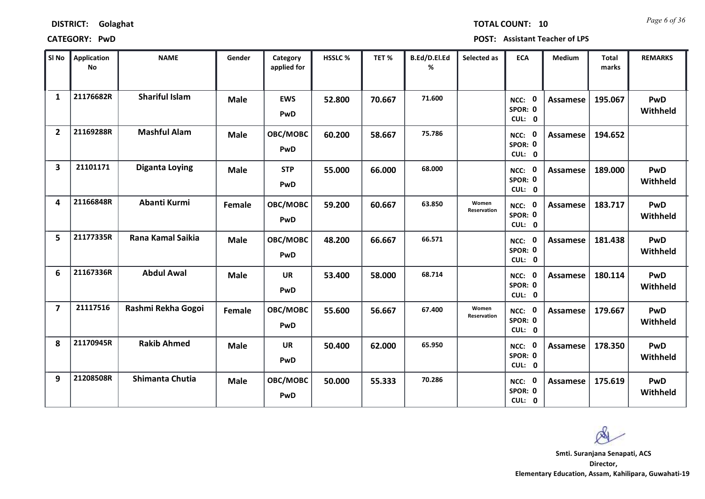*Page 6 of 36* **TOTAL COUNT: 10**

| SI No                   | <b>Application</b><br>No | <b>NAME</b>           | Gender      | Category<br>applied for | <b>HSSLC %</b> | TET %  | B.Ed/D.El.Ed<br>% | Selected as          | <b>ECA</b>                  | <b>Medium</b>   | <b>Total</b><br>marks | <b>REMARKS</b>         |
|-------------------------|--------------------------|-----------------------|-------------|-------------------------|----------------|--------|-------------------|----------------------|-----------------------------|-----------------|-----------------------|------------------------|
| $\mathbf{1}$            | 21176682R                | <b>Shariful Islam</b> | <b>Male</b> | <b>EWS</b><br>PwD       | 52.800         | 70.667 | 71.600            |                      | NCC: 0<br>SPOR: 0<br>CUL: 0 | <b>Assamese</b> | 195.067               | <b>PwD</b><br>Withheld |
| $\overline{2}$          | 21169288R                | <b>Mashful Alam</b>   | <b>Male</b> | OBC/MOBC<br>PwD         | 60.200         | 58.667 | 75.786            |                      | NCC: 0<br>SPOR: 0<br>CUL: 0 | Assamese        | 194.652               |                        |
| $\overline{\mathbf{3}}$ | 21101171                 | <b>Diganta Loying</b> | <b>Male</b> | <b>STP</b><br>PwD       | 55.000         | 66.000 | 68.000            |                      | NCC: 0<br>SPOR: 0<br>CUL: 0 | <b>Assamese</b> | 189.000               | PwD<br>Withheld        |
| 4                       | 21166848R                | Abanti Kurmi          | Female      | OBC/MOBC<br>PwD         | 59.200         | 60.667 | 63.850            | Women<br>Reservation | NCC: 0<br>SPOR: 0<br>CUL: 0 | <b>Assamese</b> | 183.717               | <b>PwD</b><br>Withheld |
| 5                       | 21177335R                | Rana Kamal Saikia     | <b>Male</b> | OBC/MOBC<br>PwD         | 48.200         | 66.667 | 66.571            |                      | NCC: 0<br>SPOR: 0<br>CUL: 0 | <b>Assamese</b> | 181.438               | PwD<br>Withheld        |
| 6                       | 21167336R                | <b>Abdul Awal</b>     | <b>Male</b> | <b>UR</b><br>PwD        | 53.400         | 58.000 | 68.714            |                      | NCC: 0<br>SPOR: 0<br>CUL: 0 | <b>Assamese</b> | 180.114               | PwD<br>Withheld        |
| $\overline{\mathbf{z}}$ | 21117516                 | Rashmi Rekha Gogoi    | Female      | OBC/MOBC<br>PwD         | 55.600         | 56.667 | 67.400            | Women<br>Reservation | NCC: 0<br>SPOR: 0<br>CUL: 0 | Assamese        | 179.667               | PwD<br>Withheld        |
| 8                       | 21170945R                | <b>Rakib Ahmed</b>    | <b>Male</b> | <b>UR</b><br>PwD        | 50.400         | 62.000 | 65.950            |                      | NCC: 0<br>SPOR: 0<br>CUL: 0 | <b>Assamese</b> | 178.350               | <b>PwD</b><br>Withheld |
| 9                       | 21208508R                | Shimanta Chutia       | <b>Male</b> | OBC/MOBC<br>PwD         | 50.000         | 55.333 | 70.286            |                      | NCC: 0<br>SPOR: 0<br>CUL: 0 | <b>Assamese</b> | 175.619               | PwD<br>Withheld        |

 $\infty$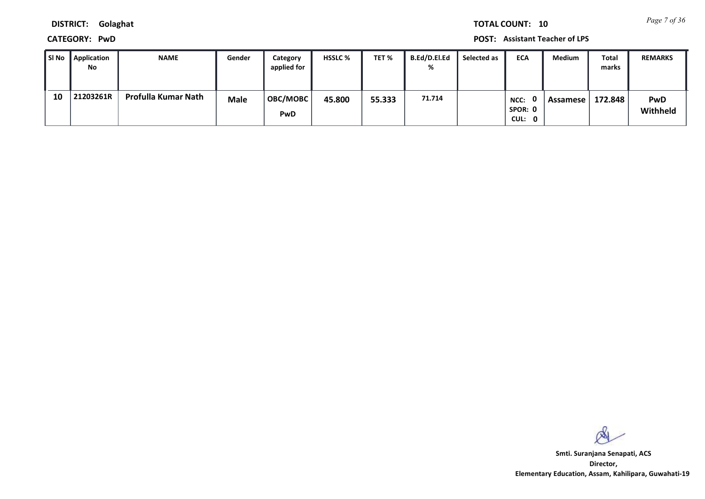*Page 7 of 36* **TOTAL COUNT: 10**

**DISTRICT: Golaghat**

**CATEGORY: PwD POST: Assistant Teacher of LPS**

| l SI No | Application<br>No | NAME                | Gender      | Category<br>applied for | <b>HSSLC</b> % | TET %  | B.Ed/D.El.Ed<br>% | Selected as | <b>ECA</b>                | <b>Medium</b> | Total<br>marks | <b>REMARKS</b>         |
|---------|-------------------|---------------------|-------------|-------------------------|----------------|--------|-------------------|-------------|---------------------------|---------------|----------------|------------------------|
| 10      | 21203261R         | Profulla Kumar Nath | <b>Male</b> | OBC/MOBC<br>PwD         | 45.800         | 55.333 | 71.714            |             | NCC:<br>SPOR: 0<br>CUL: 0 | Assamese      | 172.848        | <b>PwD</b><br>Withheld |

 $\infty$ 

**Director, Elementary Education, Assam, Kahilipara, Guwahati-19 Smti. Suranjana Senapati, ACS**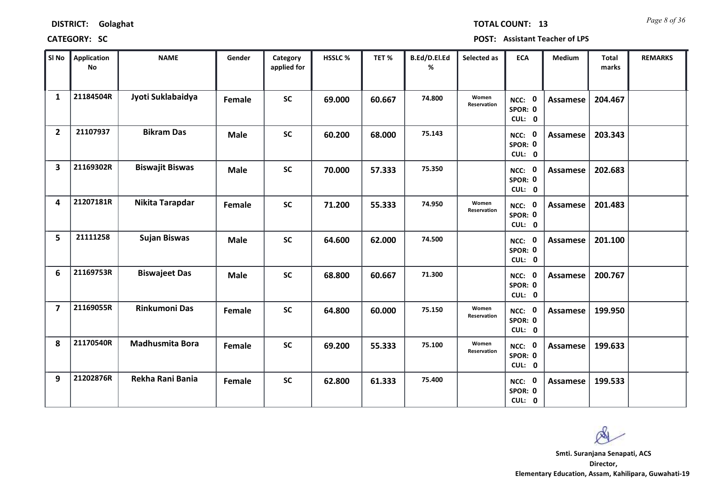*Page 8 of 36* **TOTAL COUNT: 13**

| SI No                   | <b>Application</b><br>No | <b>NAME</b>            | Gender      | Category<br>applied for | <b>HSSLC %</b> | TET%   | B.Ed/D.El.Ed<br>% | Selected as          | <b>ECA</b>                  | <b>Medium</b>   | <b>Total</b><br>marks | <b>REMARKS</b> |
|-------------------------|--------------------------|------------------------|-------------|-------------------------|----------------|--------|-------------------|----------------------|-----------------------------|-----------------|-----------------------|----------------|
| $\mathbf{1}$            | 21184504R                | Jyoti Suklabaidya      | Female      | <b>SC</b>               | 69.000         | 60.667 | 74.800            | Women<br>Reservation | NCC: 0<br>SPOR: 0<br>CUL: 0 | <b>Assamese</b> | 204.467               |                |
| $\overline{2}$          | 21107937                 | <b>Bikram Das</b>      | <b>Male</b> | <b>SC</b>               | 60.200         | 68.000 | 75.143            |                      | NCC: 0<br>SPOR: 0<br>CUL: 0 | <b>Assamese</b> | 203.343               |                |
| $\overline{\mathbf{3}}$ | 21169302R                | <b>Biswajit Biswas</b> | <b>Male</b> | <b>SC</b>               | 70.000         | 57.333 | 75.350            |                      | NCC: 0<br>SPOR: 0<br>CUL: 0 | <b>Assamese</b> | 202.683               |                |
| 4                       | 21207181R                | Nikita Tarapdar        | Female      | <b>SC</b>               | 71.200         | 55.333 | 74.950            | Women<br>Reservation | NCC: 0<br>SPOR: 0<br>CUL: 0 | <b>Assamese</b> | 201.483               |                |
| 5                       | 21111258                 | <b>Sujan Biswas</b>    | <b>Male</b> | <b>SC</b>               | 64.600         | 62.000 | 74.500            |                      | NCC: 0<br>SPOR: 0<br>CUL: 0 | <b>Assamese</b> | 201.100               |                |
| 6                       | 21169753R                | <b>Biswajeet Das</b>   | <b>Male</b> | <b>SC</b>               | 68.800         | 60.667 | 71.300            |                      | NCC: 0<br>SPOR: 0<br>CUL: 0 | <b>Assamese</b> | 200.767               |                |
| $\overline{7}$          | 21169055R                | <b>Rinkumoni Das</b>   | Female      | <b>SC</b>               | 64.800         | 60.000 | 75.150            | Women<br>Reservation | NCC: 0<br>SPOR: 0<br>CUL: 0 | Assamese        | 199.950               |                |
| 8                       | 21170540R                | <b>Madhusmita Bora</b> | Female      | <b>SC</b>               | 69.200         | 55.333 | 75.100            | Women<br>Reservation | NCC: 0<br>SPOR: 0<br>CUL: 0 | <b>Assamese</b> | 199.633               |                |
| 9                       | 21202876R                | Rekha Rani Bania       | Female      | <b>SC</b>               | 62.800         | 61.333 | 75.400            |                      | NCC: 0<br>SPOR: 0<br>CUL: 0 | Assamese        | 199.533               |                |

Q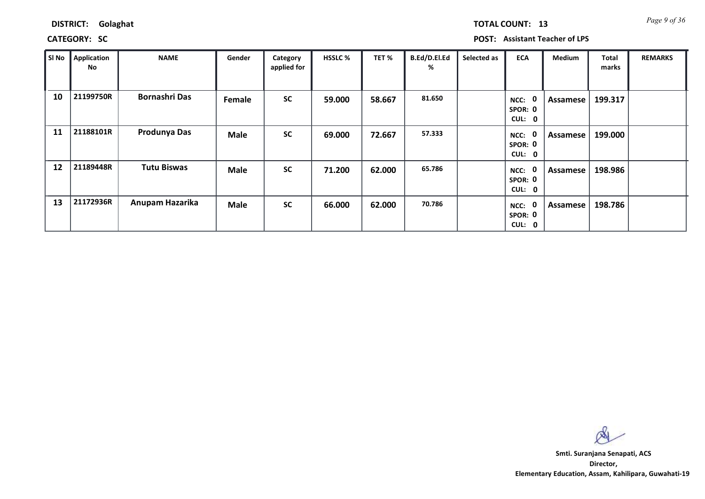**CATEGORY: SC POST: Assistant Teacher of LPS**

| SI No | Application<br>No | <b>NAME</b>          | Gender      | Category<br>applied for | <b>HSSLC %</b> | TET %  | B.Ed/D.El.Ed<br>% | Selected as | <b>ECA</b>                                  | <b>Medium</b> | Total<br>marks | <b>REMARKS</b> |
|-------|-------------------|----------------------|-------------|-------------------------|----------------|--------|-------------------|-------------|---------------------------------------------|---------------|----------------|----------------|
| 10    | 21199750R         | <b>Bornashri Das</b> | Female      | <b>SC</b>               | 59.000         | 58.667 | 81.650            |             | 0<br>NCC:<br>SPOR: 0<br>CUL:<br>$\mathbf 0$ | Assamese      | 199.317        |                |
| 11    | 21188101R         | <b>Produnya Das</b>  | <b>Male</b> | <b>SC</b>               | 69.000         | 72.667 | 57.333            |             | 0<br>NCC:<br>SPOR: 0<br>CUL:<br>$\mathbf 0$ | Assamese      | 199.000        |                |
| 12    | 21189448R         | <b>Tutu Biswas</b>   | <b>Male</b> | <b>SC</b>               | 71.200         | 62.000 | 65.786            |             | 0<br>NCC:<br>SPOR: 0<br>CUL:<br>0           | Assamese      | 198.986        |                |
| 13    | 21172936R         | Anupam Hazarika      | <b>Male</b> | <b>SC</b>               | 66.000         | 62.000 | 70.786            |             | 0<br>NCC:<br>SPOR: 0<br>CUL:<br>$\mathbf 0$ | Assamese      | 198.786        |                |

 $\infty$ 

**Director, Elementary Education, Assam, Kahilipara, Guwahati-19 Smti. Suranjana Senapati, ACS**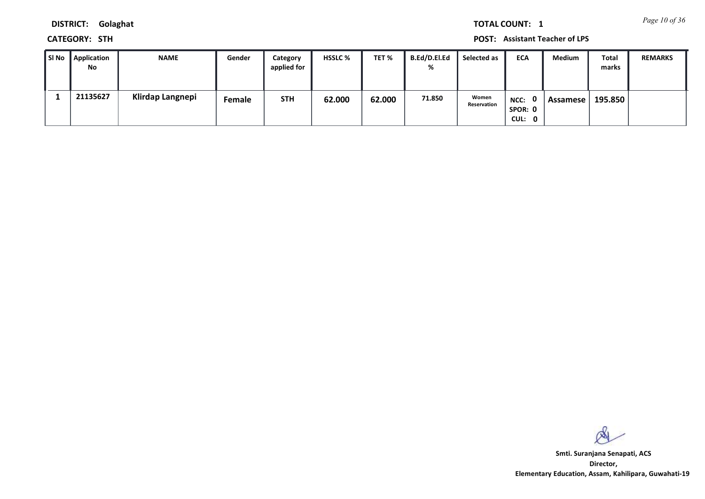*Page 10 of 36* **TOTAL COUNT: 1**

**DISTRICT: Golaghat**

**CATEGORY: STH POST: Assistant Teacher of LPS**

| SI No | Application<br>No | <b>NAME</b>      | Gender | Category<br>applied for | <b>HSSLC %</b> | TET %  | <b>B.Ed/D.El.Ed</b><br>% | Selected as          | <b>ECA</b>                  | Medium   | Total<br>marks | <b>REMARKS</b> |
|-------|-------------------|------------------|--------|-------------------------|----------------|--------|--------------------------|----------------------|-----------------------------|----------|----------------|----------------|
|       | 21135627          | Klirdap Langnepi | Female | <b>STH</b>              | 62.000         | 62.000 | 71.850                   | Women<br>Reservation | NCC: 0<br>SPOR: 0<br>CUL: 0 | Assamese | 195.850        |                |

 $\infty$ 

**Director, Elementary Education, Assam, Kahilipara, Guwahati-19 Smti. Suranjana Senapati, ACS**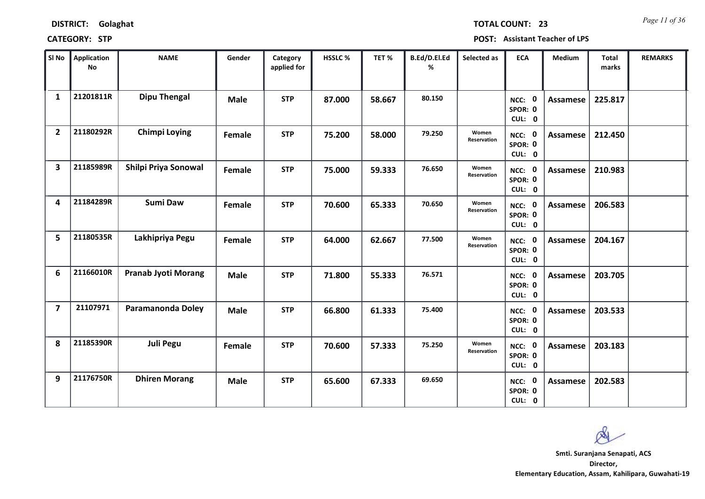*Page 11 of 36* **TOTAL COUNT: 23**

| SI No                   | <b>Application</b><br><b>No</b> | <b>NAME</b>                | Gender      | Category<br>applied for | <b>HSSLC%</b> | TET %  | B.Ed/D.El.Ed<br>% | Selected as          | <b>ECA</b>                                | <b>Medium</b>   | Total<br>marks | <b>REMARKS</b> |
|-------------------------|---------------------------------|----------------------------|-------------|-------------------------|---------------|--------|-------------------|----------------------|-------------------------------------------|-----------------|----------------|----------------|
| $\mathbf{1}$            | 21201811R                       | <b>Dipu Thengal</b>        | <b>Male</b> | <b>STP</b>              | 87.000        | 58.667 | 80.150            |                      | NCC: 0<br>SPOR: 0<br>CUL: 0               | <b>Assamese</b> | 225.817        |                |
| $\overline{2}$          | 21180292R                       | <b>Chimpi Loying</b>       | Female      | <b>STP</b>              | 75.200        | 58.000 | 79.250            | Women<br>Reservation | NCC: 0<br>SPOR: 0<br>CUL: 0               | Assamese        | 212.450        |                |
| $\overline{\mathbf{3}}$ | 21185989R                       | Shilpi Priya Sonowal       | Female      | <b>STP</b>              | 75.000        | 59.333 | 76.650            | Women<br>Reservation | NCC: 0<br>SPOR: 0<br>CUL: 0               | <b>Assamese</b> | 210.983        |                |
| $\overline{\mathbf{A}}$ | 21184289R                       | <b>Sumi Daw</b>            | Female      | <b>STP</b>              | 70.600        | 65.333 | 70.650            | Women<br>Reservation | $\mathbf{0}$<br>NCC:<br>SPOR: 0<br>CUL: 0 | <b>Assamese</b> | 206.583        |                |
| 5                       | 21180535R                       | Lakhipriya Pegu            | Female      | <b>STP</b>              | 64.000        | 62.667 | 77.500            | Women<br>Reservation | NCC: 0<br>SPOR: 0<br>CUL: 0               | Assamese        | 204.167        |                |
| 6                       | 21166010R                       | <b>Pranab Jyoti Morang</b> | <b>Male</b> | <b>STP</b>              | 71.800        | 55.333 | 76.571            |                      | NCC: 0<br>SPOR: 0<br>CUL: 0               | <b>Assamese</b> | 203.705        |                |
| $\overline{7}$          | 21107971                        | Paramanonda Doley          | <b>Male</b> | <b>STP</b>              | 66.800        | 61.333 | 75.400            |                      | NCC: 0<br>SPOR: 0<br>CUL: 0               | <b>Assamese</b> | 203.533        |                |
| 8                       | 21185390R                       | <b>Juli Pegu</b>           | Female      | <b>STP</b>              | 70.600        | 57.333 | 75.250            | Women<br>Reservation | NCC: 0<br>SPOR: 0<br>CUL: 0               | <b>Assamese</b> | 203.183        |                |
| 9                       | 21176750R                       | <b>Dhiren Morang</b>       | <b>Male</b> | <b>STP</b>              | 65.600        | 67.333 | 69.650            |                      | NCC: 0<br>SPOR: 0<br>CUL: 0               | <b>Assamese</b> | 202.583        |                |

 $\infty$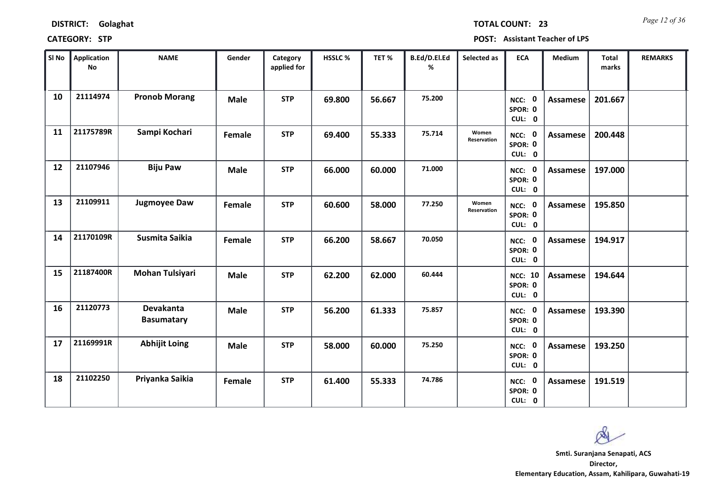| <b>DISTRICT:</b><br>Golaghat |
|------------------------------|
|------------------------------|

*Page 12 of 36* **TOTAL COUNT: 23**

| SI No | Application<br>No | <b>NAME</b>                    | Gender      | Category<br>applied for | <b>HSSLC %</b> | TET%   | B.Ed/D.El.Ed<br>% | Selected as          | <b>ECA</b>                          | <b>Medium</b>   | <b>Total</b><br>marks | <b>REMARKS</b> |
|-------|-------------------|--------------------------------|-------------|-------------------------|----------------|--------|-------------------|----------------------|-------------------------------------|-----------------|-----------------------|----------------|
| 10    | 21114974          | <b>Pronob Morang</b>           | <b>Male</b> | <b>STP</b>              | 69.800         | 56.667 | 75.200            |                      | NCC: 0<br>SPOR: 0<br>CUL: 0         | <b>Assamese</b> | 201.667               |                |
| 11    | 21175789R         | Sampi Kochari                  | Female      | <b>STP</b>              | 69.400         | 55.333 | 75.714            | Women<br>Reservation | NCC: 0<br>SPOR: 0<br>CUL: 0         | Assamese        | 200.448               |                |
| 12    | 21107946          | <b>Biju Paw</b>                | <b>Male</b> | <b>STP</b>              | 66.000         | 60.000 | 71.000            |                      | NCC: 0<br>SPOR: 0<br>CUL: 0         | Assamese        | 197.000               |                |
| 13    | 21109911          | <b>Jugmoyee Daw</b>            | Female      | <b>STP</b>              | 60.600         | 58.000 | 77.250            | Women<br>Reservation | NCC: 0<br>SPOR: 0<br>CUL: 0         | Assamese        | 195.850               |                |
| 14    | 21170109R         | Susmita Saikia                 | Female      | <b>STP</b>              | 66.200         | 58.667 | 70.050            |                      | NCC: 0<br>SPOR: 0<br>CUL: 0         | Assamese        | 194.917               |                |
| 15    | 21187400R         | Mohan Tulsiyari                | <b>Male</b> | <b>STP</b>              | 62.200         | 62.000 | 60.444            |                      | <b>NCC: 10</b><br>SPOR: 0<br>CUL: 0 | <b>Assamese</b> | 194.644               |                |
| 16    | 21120773          | Devakanta<br><b>Basumatary</b> | <b>Male</b> | <b>STP</b>              | 56.200         | 61.333 | 75.857            |                      | NCC: 0<br>SPOR: 0<br>CUL: 0         | Assamese        | 193.390               |                |
| 17    | 21169991R         | <b>Abhijit Loing</b>           | <b>Male</b> | <b>STP</b>              | 58.000         | 60.000 | 75.250            |                      | NCC: 0<br>SPOR: 0<br>CUL: 0         | <b>Assamese</b> | 193.250               |                |
| 18    | 21102250          | Priyanka Saikia                | Female      | <b>STP</b>              | 61.400         | 55.333 | 74.786            |                      | NCC: 0<br>SPOR: 0<br>CUL: 0         | <b>Assamese</b> | 191.519               |                |

 $\infty$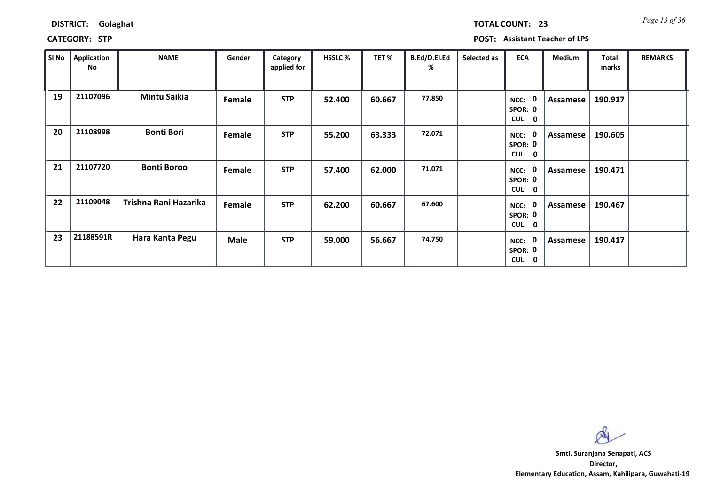| <b>DISTRICT:</b><br>Golaghat |
|------------------------------|
|------------------------------|

## **CATEGORY: STP POST: Assistant Teacher of LPS**

| SI No | <b>Application</b><br>No | <b>NAME</b>           | Gender | Category<br>applied for | <b>HSSLC %</b> | TET %  | B.Ed/D.El.Ed<br>% | Selected as | <b>ECA</b>                     | <b>Medium</b> | <b>Total</b><br>marks | <b>REMARKS</b> |
|-------|--------------------------|-----------------------|--------|-------------------------|----------------|--------|-------------------|-------------|--------------------------------|---------------|-----------------------|----------------|
| 19    | 21107096                 | <b>Mintu Saikia</b>   | Female | <b>STP</b>              | 52.400         | 60.667 | 77.850            |             | 0<br>NCC:<br>SPOR: 0<br>CUL: 0 | Assamese      | 190.917               |                |
| 20    | 21108998                 | <b>Bonti Bori</b>     | Female | <b>STP</b>              | 55.200         | 63.333 | 72.071            |             | NCC:<br>0<br>SPOR: 0<br>CUL: 0 | Assamese      | 190.605               |                |
| 21    | 21107720                 | <b>Bonti Boroo</b>    | Female | <b>STP</b>              | 57.400         | 62.000 | 71.071            |             | 0<br>NCC:<br>SPOR: 0<br>CUL: 0 | Assamese      | 190.471               |                |
| 22    | 21109048                 | Trishna Rani Hazarika | Female | <b>STP</b>              | 62.200         | 60.667 | 67.600            |             | 0<br>NCC:<br>SPOR: 0<br>CUL: 0 | Assamese      | 190.467               |                |
| 23    | 21188591R                | Hara Kanta Pegu       | Male   | <b>STP</b>              | 59.000         | 56.667 | 74.750            |             | 0<br>NCC:<br>SPOR: 0<br>CUL: 0 | Assamese      | 190.417               |                |

 $\infty$ 

**Director, Elementary Education, Assam, Kahilipara, Guwahati-19 Smti. Suranjana Senapati, ACS**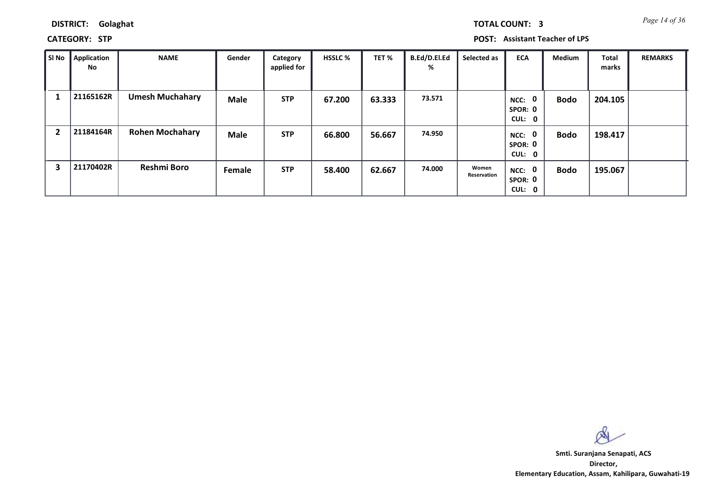*Page 14 of 36* **TOTAL COUNT: 3**

**DISTRICT: Golaghat**

**CATEGORY: STP POST: Assistant Teacher of LPS**

| SI No                   | Application<br>No | <b>NAME</b>            | Gender      | Category<br>applied for | <b>HSSLC %</b> | TET %  | <b>B.Ed/D.El.Ed</b><br>% | Selected as          | <b>ECA</b>                               | Medium      | <b>Total</b><br>marks | <b>REMARKS</b> |
|-------------------------|-------------------|------------------------|-------------|-------------------------|----------------|--------|--------------------------|----------------------|------------------------------------------|-------------|-----------------------|----------------|
|                         | 21165162R         | <b>Umesh Muchahary</b> | <b>Male</b> | <b>STP</b>              | 67.200         | 63.333 | 73.571                   |                      | 0<br>NCC:<br>SPOR: 0<br>CUL: 0           | <b>Bodo</b> | 204.105               |                |
| $\overline{\mathbf{2}}$ | 21184164R         | <b>Rohen Mochahary</b> | <b>Male</b> | <b>STP</b>              | 66.800         | 56.667 | 74.950                   |                      | $\mathbf 0$<br>NCC:<br>SPOR: 0<br>CUL: 0 | Bodo        | 198.417               |                |
| 3                       | 21170402R         | <b>Reshmi Boro</b>     | Female      | <b>STP</b>              | 58.400         | 62.667 | 74.000                   | Women<br>Reservation | NCC: 0<br>SPOR: 0<br>CUL:<br>0           | Bodo        | 195.067               |                |

 $\infty$ 

**Director, Elementary Education, Assam, Kahilipara, Guwahati-19 Smti. Suranjana Senapati, ACS**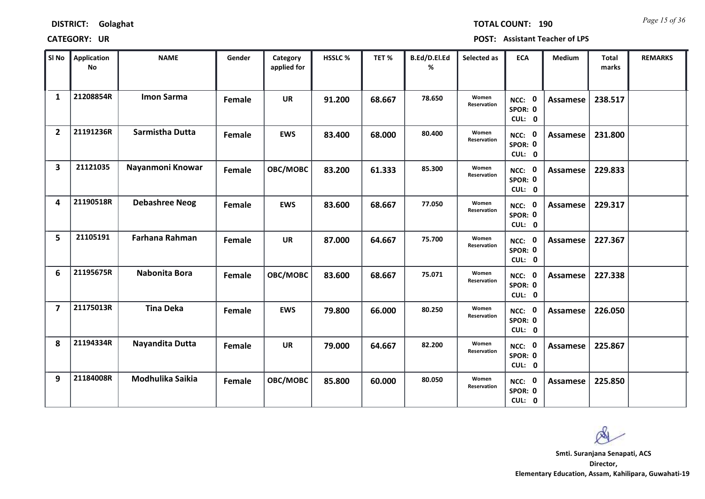*Page 15 of 36* **TOTAL COUNT: 190**

| SI No                   | <b>Application</b><br>No | <b>NAME</b>           | Gender | Category<br>applied for | <b>HSSLC %</b> | TET%   | B.Ed/D.El.Ed<br>% | Selected as          | <b>ECA</b>                  | <b>Medium</b>   | <b>Total</b><br>marks | <b>REMARKS</b> |
|-------------------------|--------------------------|-----------------------|--------|-------------------------|----------------|--------|-------------------|----------------------|-----------------------------|-----------------|-----------------------|----------------|
| $\mathbf{1}$            | 21208854R                | <b>Imon Sarma</b>     | Female | <b>UR</b>               | 91.200         | 68.667 | 78.650            | Women<br>Reservation | NCC: 0<br>SPOR: 0<br>CUL: 0 | <b>Assamese</b> | 238.517               |                |
| $\overline{2}$          | 21191236R                | Sarmistha Dutta       | Female | <b>EWS</b>              | 83.400         | 68.000 | 80.400            | Women<br>Reservation | NCC: 0<br>SPOR: 0<br>CUL: 0 | Assamese        | 231.800               |                |
| $\overline{\mathbf{3}}$ | 21121035                 | Nayanmoni Knowar      | Female | OBC/MOBC                | 83.200         | 61.333 | 85.300            | Women<br>Reservation | NCC: 0<br>SPOR: 0<br>CUL: 0 | Assamese        | 229.833               |                |
| 4                       | 21190518R                | <b>Debashree Neog</b> | Female | <b>EWS</b>              | 83.600         | 68.667 | 77.050            | Women<br>Reservation | NCC: 0<br>SPOR: 0<br>CUL: 0 | Assamese        | 229.317               |                |
| 5                       | 21105191                 | Farhana Rahman        | Female | <b>UR</b>               | 87.000         | 64.667 | 75.700            | Women<br>Reservation | NCC: 0<br>SPOR: 0<br>CUL: 0 | <b>Assamese</b> | 227.367               |                |
| 6                       | 21195675R                | Nabonita Bora         | Female | OBC/MOBC                | 83.600         | 68.667 | 75.071            | Women<br>Reservation | NCC: 0<br>SPOR: 0<br>CUL: 0 | <b>Assamese</b> | 227.338               |                |
| $\overline{\mathbf{z}}$ | 21175013R                | <b>Tina Deka</b>      | Female | <b>EWS</b>              | 79.800         | 66.000 | 80.250            | Women<br>Reservation | NCC: 0<br>SPOR: 0<br>CUL: 0 | Assamese        | 226.050               |                |
| 8                       | 21194334R                | Nayandita Dutta       | Female | <b>UR</b>               | 79.000         | 64.667 | 82.200            | Women<br>Reservation | NCC: 0<br>SPOR: 0<br>CUL: 0 | <b>Assamese</b> | 225.867               |                |
| 9                       | 21184008R                | Modhulika Saikia      | Female | OBC/MOBC                | 85.800         | 60.000 | 80.050            | Women<br>Reservation | NCC: 0<br>SPOR: 0<br>CUL: 0 | Assamese        | 225.850               |                |

 $\infty$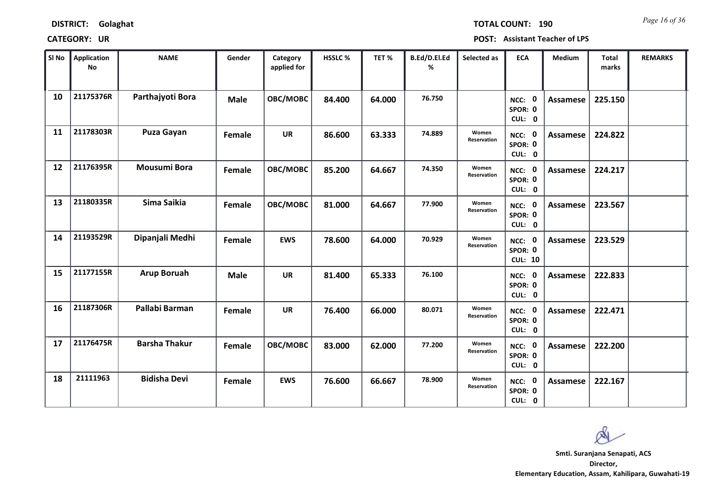| <b>DISTRICT:</b> | Golaghat |
|------------------|----------|
|------------------|----------|

| SI No | Application<br><b>No</b> | <b>NAME</b>          | Gender      | Category<br>applied for | <b>HSSLC %</b> | TET %  | B.Ed/D.El.Ed<br>% | Selected as          | <b>ECA</b>                                | <b>Medium</b>   | <b>Total</b><br>marks | <b>REMARKS</b> |
|-------|--------------------------|----------------------|-------------|-------------------------|----------------|--------|-------------------|----------------------|-------------------------------------------|-----------------|-----------------------|----------------|
| 10    | 21175376R                | Parthajyoti Bora     | <b>Male</b> | OBC/MOBC                | 84.400         | 64.000 | 76.750            |                      | NCC: 0<br>SPOR: 0<br>CUL: 0               | <b>Assamese</b> | 225.150               |                |
| 11    | 21178303R                | <b>Puza Gayan</b>    | Female      | <b>UR</b>               | 86.600         | 63.333 | 74.889            | Women<br>Reservation | NCC: 0<br>SPOR: 0<br>CUL: 0               | Assamese        | 224.822               |                |
| 12    | 21176395R                | <b>Mousumi Bora</b>  | Female      | OBC/MOBC                | 85.200         | 64.667 | 74.350            | Women<br>Reservation | NCC: 0<br>SPOR: 0<br>CUL: 0               | <b>Assamese</b> | 224.217               |                |
| 13    | 21180335R                | Sima Saikia          | Female      | OBC/MOBC                | 81.000         | 64.667 | 77.900            | Women<br>Reservation | $\mathbf{0}$<br>NCC:<br>SPOR: 0<br>CUL: 0 | Assamese        | 223.567               |                |
| 14    | 21193529R                | Dipanjali Medhi      | Female      | <b>EWS</b>              | 78.600         | 64.000 | 70.929            | Women<br>Reservation | NCC: 0<br>SPOR: 0<br><b>CUL: 10</b>       | Assamese        | 223.529               |                |
| 15    | 21177155R                | <b>Arup Boruah</b>   | <b>Male</b> | UR                      | 81.400         | 65.333 | 76.100            |                      | NCC: 0<br>SPOR: 0<br>CUL: 0               | <b>Assamese</b> | 222.833               |                |
| 16    | 21187306R                | Pallabi Barman       | Female      | <b>UR</b>               | 76.400         | 66.000 | 80.071            | Women<br>Reservation | NCC: 0<br>SPOR: 0<br>CUL: 0               | <b>Assamese</b> | 222.471               |                |
| 17    | 21176475R                | <b>Barsha Thakur</b> | Female      | OBC/MOBC                | 83.000         | 62.000 | 77.200            | Women<br>Reservation | NCC: 0<br>SPOR: 0<br>CUL: 0               | <b>Assamese</b> | 222.200               |                |
| 18    | 21111963                 | <b>Bidisha Devi</b>  | Female      | <b>EWS</b>              | 76.600         | 66.667 | 78.900            | Women<br>Reservation | NCC: 0<br>SPOR: 0<br>CUL: 0               | Assamese        | 222.167               |                |

 $\infty$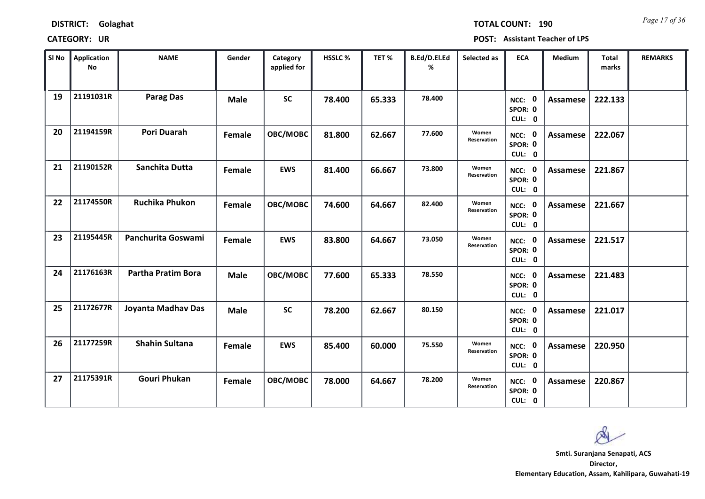|  | <b>DISTRICT:</b> | Golaghat |
|--|------------------|----------|
|--|------------------|----------|

*Page 17 of 36* **TOTAL COUNT: 190**

| SI No | <b>Application</b><br>No | <b>NAME</b>               | Gender      | Category<br>applied for | <b>HSSLC %</b> | TET%   | B.Ed/D.El.Ed<br>% | Selected as          | <b>ECA</b>                  | <b>Medium</b>   | <b>Total</b><br>marks | <b>REMARKS</b> |
|-------|--------------------------|---------------------------|-------------|-------------------------|----------------|--------|-------------------|----------------------|-----------------------------|-----------------|-----------------------|----------------|
| 19    | 21191031R                | <b>Parag Das</b>          | <b>Male</b> | <b>SC</b>               | 78.400         | 65.333 | 78,400            |                      | NCC: 0<br>SPOR: 0<br>CUL: 0 | <b>Assamese</b> | 222.133               |                |
| 20    | 21194159R                | <b>Pori Duarah</b>        | Female      | OBC/MOBC                | 81.800         | 62.667 | 77.600            | Women<br>Reservation | NCC: 0<br>SPOR: 0<br>CUL: 0 | Assamese        | 222.067               |                |
| 21    | 21190152R                | Sanchita Dutta            | Female      | <b>EWS</b>              | 81.400         | 66.667 | 73.800            | Women<br>Reservation | NCC: 0<br>SPOR: 0<br>CUL: 0 | Assamese        | 221.867               |                |
| 22    | 21174550R                | <b>Ruchika Phukon</b>     | Female      | OBC/MOBC                | 74.600         | 64.667 | 82.400            | Women<br>Reservation | NCC: 0<br>SPOR: 0<br>CUL: 0 | Assamese        | 221.667               |                |
| 23    | 21195445R                | Panchurita Goswami        | Female      | <b>EWS</b>              | 83.800         | 64.667 | 73.050            | Women<br>Reservation | NCC: 0<br>SPOR: 0<br>CUL: 0 | Assamese        | 221.517               |                |
| 24    | 21176163R                | <b>Partha Pratim Bora</b> | <b>Male</b> | OBC/MOBC                | 77.600         | 65.333 | 78.550            |                      | NCC: 0<br>SPOR: 0<br>CUL: 0 | <b>Assamese</b> | 221.483               |                |
| 25    | 21172677R                | Joyanta Madhav Das        | <b>Male</b> | <b>SC</b>               | 78.200         | 62.667 | 80.150            |                      | NCC: 0<br>SPOR: 0<br>CUL: 0 | Assamese        | 221.017               |                |
| 26    | 21177259R                | <b>Shahin Sultana</b>     | Female      | <b>EWS</b>              | 85.400         | 60.000 | 75.550            | Women<br>Reservation | NCC: 0<br>SPOR: 0<br>CUL: 0 | <b>Assamese</b> | 220.950               |                |
| 27    | 21175391R                | <b>Gouri Phukan</b>       | Female      | OBC/MOBC                | 78.000         | 64.667 | 78.200            | Women<br>Reservation | NCC: 0<br>SPOR: 0<br>CUL: 0 | Assamese        | 220.867               |                |

 $\infty$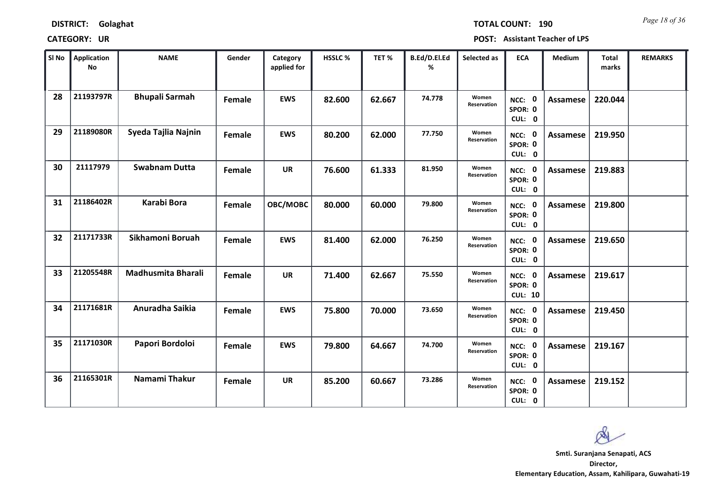*Page 18 of 36* **TOTAL COUNT: 190**

| SI No | <b>Application</b><br>No | <b>NAME</b>           | Gender | Category<br>applied for | <b>HSSLC %</b> | TET %  | B.Ed/D.El.Ed<br>% | Selected as          | <b>ECA</b>                          | <b>Medium</b>   | <b>Total</b><br>marks | <b>REMARKS</b> |
|-------|--------------------------|-----------------------|--------|-------------------------|----------------|--------|-------------------|----------------------|-------------------------------------|-----------------|-----------------------|----------------|
| 28    | 21193797R                | <b>Bhupali Sarmah</b> | Female | <b>EWS</b>              | 82.600         | 62.667 | 74.778            | Women<br>Reservation | NCC: 0<br>SPOR: 0<br>CUL: 0         | <b>Assamese</b> | 220.044               |                |
| 29    | 21189080R                | Syeda Tajlia Najnin   | Female | <b>EWS</b>              | 80.200         | 62.000 | 77.750            | Women<br>Reservation | NCC: 0<br>SPOR: 0<br>CUL: 0         | Assamese        | 219.950               |                |
| 30    | 21117979                 | <b>Swabnam Dutta</b>  | Female | <b>UR</b>               | 76.600         | 61.333 | 81.950            | Women<br>Reservation | NCC: 0<br>SPOR: 0<br>CUL: 0         | Assamese        | 219.883               |                |
| 31    | 21186402R                | Karabi Bora           | Female | OBC/MOBC                | 80.000         | 60.000 | 79.800            | Women<br>Reservation | NCC: 0<br>SPOR: 0<br>CUL: 0         | Assamese        | 219.800               |                |
| 32    | 21171733R                | Sikhamoni Boruah      | Female | <b>EWS</b>              | 81.400         | 62.000 | 76.250            | Women<br>Reservation | NCC: 0<br>SPOR: 0<br>CUL: 0         | <b>Assamese</b> | 219.650               |                |
| 33    | 21205548R                | Madhusmita Bharali    | Female | <b>UR</b>               | 71.400         | 62.667 | 75.550            | Women<br>Reservation | NCC: 0<br>SPOR: 0<br><b>CUL: 10</b> | Assamese        | 219.617               |                |
| 34    | 21171681R                | Anuradha Saikia       | Female | <b>EWS</b>              | 75.800         | 70.000 | 73.650            | Women<br>Reservation | NCC: 0<br>SPOR: 0<br>CUL: 0         | Assamese        | 219.450               |                |
| 35    | 21171030R                | Papori Bordoloi       | Female | <b>EWS</b>              | 79.800         | 64.667 | 74.700            | Women<br>Reservation | NCC: 0<br>SPOR: 0<br>CUL: 0         | <b>Assamese</b> | 219.167               |                |
| 36    | 21165301R                | Namami Thakur         | Female | <b>UR</b>               | 85.200         | 60.667 | 73.286            | Women<br>Reservation | NCC: 0<br>SPOR: 0<br>CUL: 0         | Assamese        | 219.152               |                |

 $\infty$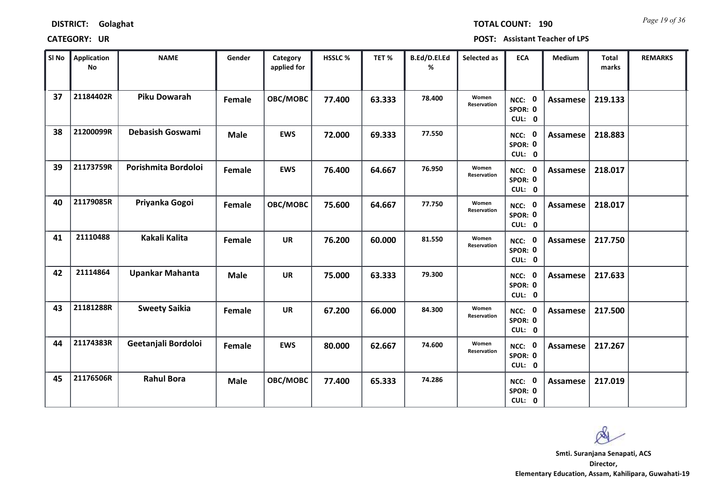*Page 19 of 36* **TOTAL COUNT: 190**

| SI No | <b>Application</b><br>No | <b>NAME</b>             | Gender      | Category<br>applied for | HSSLC % | TET %  | B.Ed/D.El.Ed<br>% | Selected as          | <b>ECA</b>                  | <b>Medium</b>   | <b>Total</b><br>marks | <b>REMARKS</b> |
|-------|--------------------------|-------------------------|-------------|-------------------------|---------|--------|-------------------|----------------------|-----------------------------|-----------------|-----------------------|----------------|
| 37    | 21184402R                | <b>Piku Dowarah</b>     | Female      | OBC/MOBC                | 77.400  | 63.333 | 78.400            | Women<br>Reservation | NCC: 0<br>SPOR: 0<br>CUL: 0 | Assamese        | 219.133               |                |
| 38    | 21200099R                | <b>Debasish Goswami</b> | <b>Male</b> | <b>EWS</b>              | 72.000  | 69.333 | 77.550            |                      | NCC: 0<br>SPOR: 0<br>CUL: 0 | Assamese        | 218.883               |                |
| 39    | 21173759R                | Porishmita Bordoloi     | Female      | <b>EWS</b>              | 76.400  | 64.667 | 76.950            | Women<br>Reservation | NCC: 0<br>SPOR: 0<br>CUL: 0 | Assamese        | 218.017               |                |
| 40    | 21179085R                | Priyanka Gogoi          | Female      | OBC/MOBC                | 75.600  | 64.667 | 77.750            | Women<br>Reservation | NCC: 0<br>SPOR: 0<br>CUL: 0 | Assamese        | 218.017               |                |
| 41    | 21110488                 | Kakali Kalita           | Female      | <b>UR</b>               | 76.200  | 60.000 | 81.550            | Women<br>Reservation | NCC: 0<br>SPOR: 0<br>CUL: 0 | Assamese        | 217.750               |                |
| 42    | 21114864                 | <b>Upankar Mahanta</b>  | <b>Male</b> | <b>UR</b>               | 75.000  | 63.333 | 79.300            |                      | NCC: 0<br>SPOR: 0<br>CUL: 0 | Assamese        | 217.633               |                |
| 43    | 21181288R                | <b>Sweety Saikia</b>    | Female      | <b>UR</b>               | 67.200  | 66.000 | 84.300            | Women<br>Reservation | NCC: 0<br>SPOR: 0<br>CUL: 0 | Assamese        | 217.500               |                |
| 44    | 21174383R                | Geetanjali Bordoloi     | Female      | <b>EWS</b>              | 80.000  | 62.667 | 74.600            | Women<br>Reservation | NCC: 0<br>SPOR: 0<br>CUL: 0 | <b>Assamese</b> | 217.267               |                |
| 45    | 21176506R                | <b>Rahul Bora</b>       | <b>Male</b> | OBC/MOBC                | 77.400  | 65.333 | 74.286            |                      | NCC: 0<br>SPOR: 0<br>CUL: 0 | Assamese        | 217.019               |                |

 $\infty$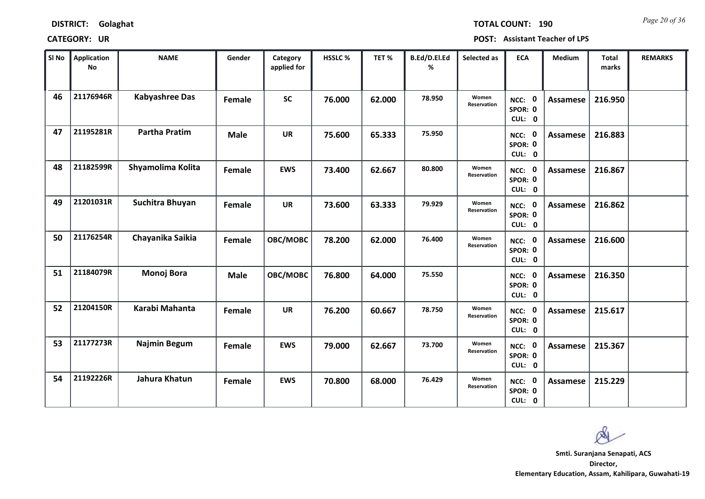| <b>DISTRICT:</b> | Golaghat |
|------------------|----------|
|------------------|----------|

*Page 20 of 36* **TOTAL COUNT: 190**

| SI No | <b>Application</b><br>No | <b>NAME</b>           | Gender      | Category<br>applied for | <b>HSSLC %</b> | TET%   | B.Ed/D.El.Ed<br>% | Selected as          | <b>ECA</b>                  | <b>Medium</b>   | <b>Total</b><br>marks | <b>REMARKS</b> |
|-------|--------------------------|-----------------------|-------------|-------------------------|----------------|--------|-------------------|----------------------|-----------------------------|-----------------|-----------------------|----------------|
| 46    | 21176946R                | <b>Kabyashree Das</b> | Female      | <b>SC</b>               | 76.000         | 62.000 | 78.950            | Women<br>Reservation | NCC: 0<br>SPOR: 0<br>CUL: 0 | <b>Assamese</b> | 216.950               |                |
| 47    | 21195281R                | <b>Partha Pratim</b>  | <b>Male</b> | <b>UR</b>               | 75.600         | 65.333 | 75.950            |                      | NCC: 0<br>SPOR: 0<br>CUL: 0 | Assamese        | 216.883               |                |
| 48    | 21182599R                | Shyamolima Kolita     | Female      | <b>EWS</b>              | 73.400         | 62.667 | 80.800            | Women<br>Reservation | NCC: 0<br>SPOR: 0<br>CUL: 0 | Assamese        | 216.867               |                |
| 49    | 21201031R                | Suchitra Bhuyan       | Female      | <b>UR</b>               | 73.600         | 63.333 | 79.929            | Women<br>Reservation | NCC: 0<br>SPOR: 0<br>CUL: 0 | Assamese        | 216.862               |                |
| 50    | 21176254R                | Chayanika Saikia      | Female      | OBC/MOBC                | 78.200         | 62.000 | 76.400            | Women<br>Reservation | NCC: 0<br>SPOR: 0<br>CUL: 0 | Assamese        | 216.600               |                |
| 51    | 21184079R                | <b>Monoj Bora</b>     | <b>Male</b> | OBC/MOBC                | 76.800         | 64.000 | 75.550            |                      | NCC: 0<br>SPOR: 0<br>CUL: 0 | Assamese        | 216.350               |                |
| 52    | 21204150R                | Karabi Mahanta        | Female      | <b>UR</b>               | 76.200         | 60.667 | 78.750            | Women<br>Reservation | NCC: 0<br>SPOR: 0<br>CUL: 0 | Assamese        | 215.617               |                |
| 53    | 21177273R                | <b>Najmin Begum</b>   | Female      | <b>EWS</b>              | 79.000         | 62.667 | 73.700            | Women<br>Reservation | NCC: 0<br>SPOR: 0<br>CUL: 0 | <b>Assamese</b> | 215.367               |                |
| 54    | 21192226R                | Jahura Khatun         | Female      | <b>EWS</b>              | 70.800         | 68.000 | 76.429            | Women<br>Reservation | NCC: 0<br>SPOR: 0<br>CUL: 0 | Assamese        | 215.229               |                |

 $\infty$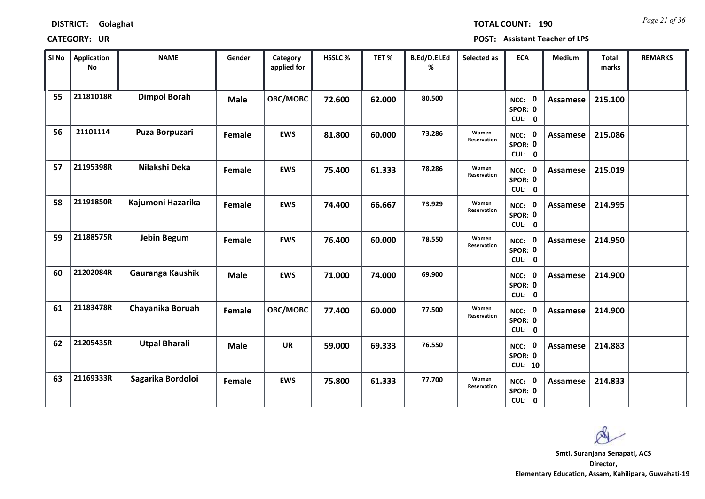| <b>DISTRICT:</b> | Golaghat |
|------------------|----------|
|------------------|----------|

*Page 21 of 36* **TOTAL COUNT: 190**

| SI No | Application<br>No | <b>NAME</b>          | Gender      | Category<br>applied for | <b>HSSLC %</b> | TET%   | B.Ed/D.El.Ed<br>% | Selected as          | <b>ECA</b>                          | <b>Medium</b>   | <b>Total</b><br>marks | <b>REMARKS</b> |
|-------|-------------------|----------------------|-------------|-------------------------|----------------|--------|-------------------|----------------------|-------------------------------------|-----------------|-----------------------|----------------|
| 55    | 21181018R         | <b>Dimpol Borah</b>  | <b>Male</b> | OBC/MOBC                | 72.600         | 62.000 | 80.500            |                      | NCC: 0<br>SPOR: 0<br>CUL: 0         | <b>Assamese</b> | 215.100               |                |
| 56    | 21101114          | Puza Borpuzari       | Female      | <b>EWS</b>              | 81.800         | 60.000 | 73.286            | Women<br>Reservation | NCC: 0<br>SPOR: 0<br>CUL: 0         | Assamese        | 215.086               |                |
| 57    | 21195398R         | Nilakshi Deka        | Female      | <b>EWS</b>              | 75.400         | 61.333 | 78.286            | Women<br>Reservation | NCC: 0<br>SPOR: 0<br>CUL: 0         | Assamese        | 215.019               |                |
| 58    | 21191850R         | Kajumoni Hazarika    | Female      | <b>EWS</b>              | 74.400         | 66.667 | 73.929            | Women<br>Reservation | NCC: 0<br>SPOR: 0<br>CUL: 0         | Assamese        | 214.995               |                |
| 59    | 21188575R         | Jebin Begum          | Female      | <b>EWS</b>              | 76.400         | 60.000 | 78.550            | Women<br>Reservation | NCC: 0<br>SPOR: 0<br>CUL: 0         | Assamese        | 214.950               |                |
| 60    | 21202084R         | Gauranga Kaushik     | <b>Male</b> | <b>EWS</b>              | 71.000         | 74.000 | 69.900            |                      | NCC: 0<br>SPOR: 0<br>CUL: 0         | Assamese        | 214.900               |                |
| 61    | 21183478R         | Chayanika Boruah     | Female      | OBC/MOBC                | 77.400         | 60.000 | 77.500            | Women<br>Reservation | NCC: 0<br>SPOR: 0<br>CUL: 0         | Assamese        | 214.900               |                |
| 62    | 21205435R         | <b>Utpal Bharali</b> | <b>Male</b> | <b>UR</b>               | 59.000         | 69.333 | 76.550            |                      | NCC: 0<br>SPOR: 0<br><b>CUL: 10</b> | <b>Assamese</b> | 214.883               |                |
| 63    | 21169333R         | Sagarika Bordoloi    | Female      | <b>EWS</b>              | 75.800         | 61.333 | 77.700            | Women<br>Reservation | NCC: 0<br>SPOR: 0<br>CUL: 0         | Assamese        | 214.833               |                |

 $\infty$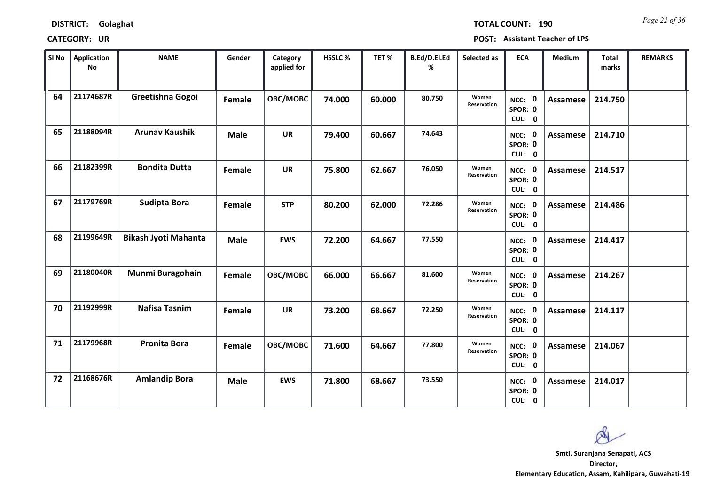*Page 22 of 36* **TOTAL COUNT: 190**

| SI No | <b>Application</b><br>No | <b>NAME</b>                 | Gender      | Category<br>applied for | HSSLC% | TET%   | B.Ed/D.El.Ed<br>% | Selected as          | <b>ECA</b>                  | <b>Medium</b>   | <b>Total</b><br>marks | <b>REMARKS</b> |
|-------|--------------------------|-----------------------------|-------------|-------------------------|--------|--------|-------------------|----------------------|-----------------------------|-----------------|-----------------------|----------------|
| 64    | 21174687R                | Greetishna Gogoi            | Female      | OBC/MOBC                | 74.000 | 60.000 | 80.750            | Women<br>Reservation | NCC: 0<br>SPOR: 0<br>CUL: 0 | <b>Assamese</b> | 214.750               |                |
| 65    | 21188094R                | <b>Arunav Kaushik</b>       | <b>Male</b> | <b>UR</b>               | 79.400 | 60.667 | 74.643            |                      | NCC: 0<br>SPOR: 0<br>CUL: 0 | <b>Assamese</b> | 214.710               |                |
| 66    | 21182399R                | <b>Bondita Dutta</b>        | Female      | <b>UR</b>               | 75.800 | 62.667 | 76.050            | Women<br>Reservation | NCC: 0<br>SPOR: 0<br>CUL: 0 | <b>Assamese</b> | 214.517               |                |
| 67    | 21179769R                | Sudipta Bora                | Female      | <b>STP</b>              | 80.200 | 62.000 | 72.286            | Women<br>Reservation | NCC: 0<br>SPOR: 0<br>CUL: 0 | <b>Assamese</b> | 214.486               |                |
| 68    | 21199649R                | <b>Bikash Jyoti Mahanta</b> | <b>Male</b> | <b>EWS</b>              | 72.200 | 64.667 | 77.550            |                      | NCC: 0<br>SPOR: 0<br>CUL: 0 | <b>Assamese</b> | 214.417               |                |
| 69    | 21180040R                | Munmi Buragohain            | Female      | OBC/MOBC                | 66.000 | 66.667 | 81.600            | Women<br>Reservation | NCC: 0<br>SPOR: 0<br>CUL: 0 | <b>Assamese</b> | 214.267               |                |
| 70    | 21192999R                | <b>Nafisa Tasnim</b>        | Female      | <b>UR</b>               | 73.200 | 68.667 | 72.250            | Women<br>Reservation | NCC: 0<br>SPOR: 0<br>CUL: 0 | Assamese        | 214.117               |                |
| 71    | 21179968R                | <b>Pronita Bora</b>         | Female      | OBC/MOBC                | 71.600 | 64.667 | 77.800            | Women<br>Reservation | NCC: 0<br>SPOR: 0<br>CUL: 0 | <b>Assamese</b> | 214.067               |                |
| 72    | 21168676R                | <b>Amlandip Bora</b>        | <b>Male</b> | <b>EWS</b>              | 71.800 | 68.667 | 73.550            |                      | NCC: 0<br>SPOR: 0<br>CUL: 0 | Assamese        | 214.017               |                |

Q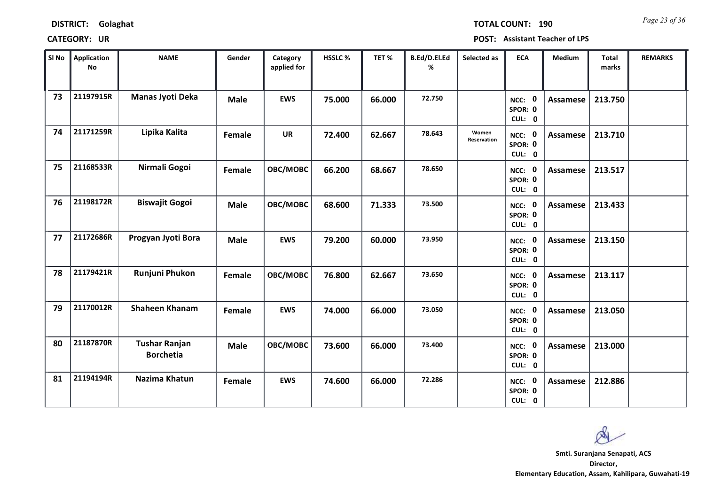| <b>DISTRICT:</b> | Golaghat |
|------------------|----------|
|------------------|----------|

*Page 23 of 36* **TOTAL COUNT: 190**

| SI No | <b>Application</b><br>No | <b>NAME</b>                              | Gender        | Category<br>applied for | HSSLC % | TET %  | B.Ed/D.El.Ed<br>% | Selected as          | <b>ECA</b>                  | <b>Medium</b>   | Total<br>marks | <b>REMARKS</b> |
|-------|--------------------------|------------------------------------------|---------------|-------------------------|---------|--------|-------------------|----------------------|-----------------------------|-----------------|----------------|----------------|
| 73    | 21197915R                | Manas Jyoti Deka                         | <b>Male</b>   | <b>EWS</b>              | 75.000  | 66.000 | 72.750            |                      | NCC: 0<br>SPOR: 0<br>CUL: 0 | <b>Assamese</b> | 213.750        |                |
| 74    | 21171259R                | Lipika Kalita                            | Female        | <b>UR</b>               | 72.400  | 62.667 | 78.643            | Women<br>Reservation | NCC: 0<br>SPOR: 0<br>CUL: 0 | <b>Assamese</b> | 213.710        |                |
| 75    | 21168533R                | Nirmali Gogoi                            | Female        | OBC/MOBC                | 66.200  | 68.667 | 78.650            |                      | NCC: 0<br>SPOR: 0<br>CUL: 0 | Assamese        | 213.517        |                |
| 76    | 21198172R                | <b>Biswajit Gogoi</b>                    | <b>Male</b>   | OBC/MOBC                | 68.600  | 71.333 | 73.500            |                      | NCC: 0<br>SPOR: 0<br>CUL: 0 | <b>Assamese</b> | 213.433        |                |
| 77    | 21172686R                | Progyan Jyoti Bora                       | <b>Male</b>   | <b>EWS</b>              | 79.200  | 60.000 | 73.950            |                      | NCC: 0<br>SPOR: 0<br>CUL: 0 | <b>Assamese</b> | 213.150        |                |
| 78    | 21179421R                | Runjuni Phukon                           | Female        | OBC/MOBC                | 76.800  | 62.667 | 73.650            |                      | NCC: 0<br>SPOR: 0<br>CUL: 0 | Assamese        | 213.117        |                |
| 79    | 21170012R                | <b>Shaheen Khanam</b>                    | <b>Female</b> | <b>EWS</b>              | 74.000  | 66.000 | 73.050            |                      | NCC: 0<br>SPOR: 0<br>CUL: 0 | <b>Assamese</b> | 213.050        |                |
| 80    | 21187870R                | <b>Tushar Ranjan</b><br><b>Borchetia</b> | <b>Male</b>   | OBC/MOBC                | 73.600  | 66.000 | 73.400            |                      | NCC: 0<br>SPOR: 0<br>CUL: 0 | <b>Assamese</b> | 213.000        |                |
| 81    | 21194194R                | Nazima Khatun                            | Female        | <b>EWS</b>              | 74.600  | 66.000 | 72.286            |                      | NCC: 0<br>SPOR: 0<br>CUL: 0 | <b>Assamese</b> | 212.886        |                |

 $\infty$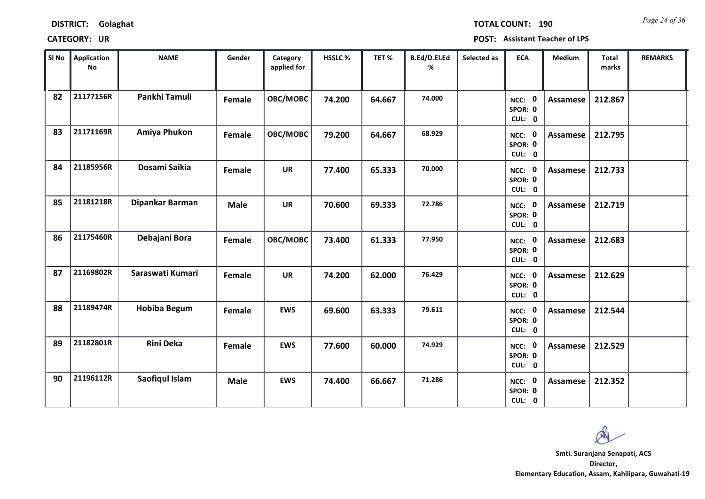| <b>DISTRICT:</b> | Golaghat |
|------------------|----------|
|------------------|----------|

*Page 24 of 36* **TOTAL COUNT: 190**

| SI No | <b>Application</b><br>No | <b>NAME</b>         | Gender      | Category<br>applied for | HSSLC% | TET%   | B.Ed/D.El.Ed<br>% | Selected as | <b>ECA</b>                  | Medium          | Total<br>marks | <b>REMARKS</b> |
|-------|--------------------------|---------------------|-------------|-------------------------|--------|--------|-------------------|-------------|-----------------------------|-----------------|----------------|----------------|
| 82    | 21177156R                | Pankhi Tamuli       | Female      | OBC/MOBC                | 74.200 | 64.667 | 74.000            |             | NCC: 0<br>SPOR: 0<br>CUL: 0 | Assamese        | 212.867        |                |
| 83    | 21171169R                | Amiya Phukon        | Female      | OBC/MOBC                | 79.200 | 64.667 | 68.929            |             | NCC: 0<br>SPOR: 0<br>CUL: 0 | Assamese        | 212.795        |                |
| 84    | 21185956R                | Dosami Saikia       | Female      | <b>UR</b>               | 77.400 | 65.333 | 70.000            |             | NCC: 0<br>SPOR: 0<br>CUL: 0 | <b>Assamese</b> | 212.733        |                |
| 85    | 21181218R                | Dipankar Barman     | <b>Male</b> | <b>UR</b>               | 70.600 | 69.333 | 72.786            |             | NCC: 0<br>SPOR: 0<br>CUL: 0 | <b>Assamese</b> | 212.719        |                |
| 86    | 21175460R                | Debajani Bora       | Female      | OBC/MOBC                | 73.400 | 61.333 | 77.950            |             | NCC: 0<br>SPOR: 0<br>CUL: 0 | <b>Assamese</b> | 212.683        |                |
| 87    | 21169802R                | Saraswati Kumari    | Female      | <b>UR</b>               | 74.200 | 62.000 | 76.429            |             | NCC: 0<br>SPOR: 0<br>CUL: 0 | <b>Assamese</b> | 212.629        |                |
| 88    | 21189474R                | <b>Hobiba Begum</b> | Female      | <b>EWS</b>              | 69.600 | 63.333 | 79.611            |             | NCC: 0<br>SPOR: 0<br>CUL: 0 | <b>Assamese</b> | 212.544        |                |
| 89    | 21182801R                | <b>Rini Deka</b>    | Female      | <b>EWS</b>              | 77.600 | 60.000 | 74.929            |             | NCC: 0<br>SPOR: 0<br>CUL: 0 | <b>Assamese</b> | 212.529        |                |
| 90    | 21196112R                | Saofiqul Islam      | <b>Male</b> | <b>EWS</b>              | 74.400 | 66.667 | 71.286            |             | NCC: 0<br>SPOR: 0<br>CUL: 0 | Assamese        | 212.352        |                |

 $\infty$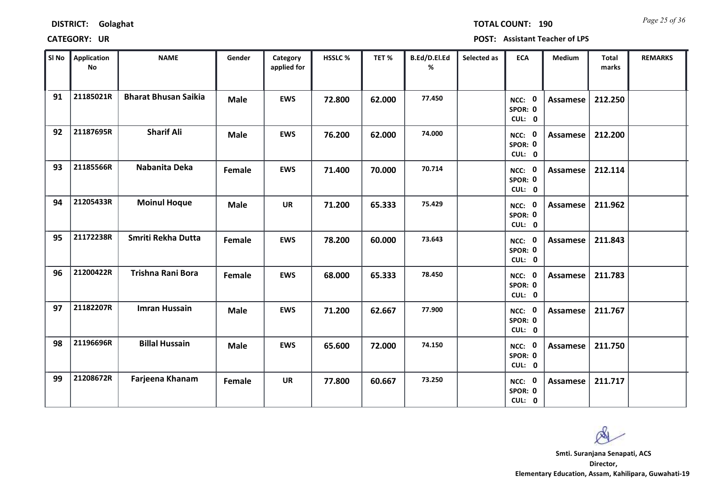*Page 25 of 36* **TOTAL COUNT: 190**

| SI No | <b>Application</b><br>No | <b>NAME</b>                 | Gender      | Category<br>applied for | HSSLC % | TET %  | B.Ed/D.El.Ed<br>% | Selected as | <b>ECA</b>                  | <b>Medium</b>   | <b>Total</b><br>marks | <b>REMARKS</b> |
|-------|--------------------------|-----------------------------|-------------|-------------------------|---------|--------|-------------------|-------------|-----------------------------|-----------------|-----------------------|----------------|
| 91    | 21185021R                | <b>Bharat Bhusan Saikia</b> | <b>Male</b> | <b>EWS</b>              | 72.800  | 62.000 | 77.450            |             | NCC: 0<br>SPOR: 0<br>CUL: 0 | <b>Assamese</b> | 212.250               |                |
| 92    | 21187695R                | <b>Sharif Ali</b>           | <b>Male</b> | <b>EWS</b>              | 76.200  | 62.000 | 74.000            |             | NCC: 0<br>SPOR: 0<br>CUL: 0 | Assamese        | 212.200               |                |
| 93    | 21185566R                | Nabanita Deka               | Female      | <b>EWS</b>              | 71.400  | 70.000 | 70.714            |             | NCC: 0<br>SPOR: 0<br>CUL: 0 | <b>Assamese</b> | 212.114               |                |
| 94    | 21205433R                | <b>Moinul Hoque</b>         | <b>Male</b> | <b>UR</b>               | 71.200  | 65.333 | 75.429            |             | NCC: 0<br>SPOR: 0<br>CUL: 0 | Assamese        | 211.962               |                |
| 95    | 21172238R                | Smriti Rekha Dutta          | Female      | <b>EWS</b>              | 78.200  | 60.000 | 73.643            |             | NCC: 0<br>SPOR: 0<br>CUL: 0 | Assamese        | 211.843               |                |
| 96    | 21200422R                | Trishna Rani Bora           | Female      | <b>EWS</b>              | 68.000  | 65.333 | 78.450            |             | NCC: 0<br>SPOR: 0<br>CUL: 0 | Assamese        | 211.783               |                |
| 97    | 21182207R                | <b>Imran Hussain</b>        | <b>Male</b> | <b>EWS</b>              | 71.200  | 62.667 | 77.900            |             | NCC: 0<br>SPOR: 0<br>CUL: 0 | Assamese        | 211.767               |                |
| 98    | 21196696R                | <b>Billal Hussain</b>       | <b>Male</b> | <b>EWS</b>              | 65.600  | 72.000 | 74.150            |             | NCC: 0<br>SPOR: 0<br>CUL: 0 | <b>Assamese</b> | 211.750               |                |
| 99    | 21208672R                | Farjeena Khanam             | Female      | <b>UR</b>               | 77.800  | 60.667 | 73.250            |             | NCC: 0<br>SPOR: 0<br>CUL: 0 | Assamese        | 211.717               |                |

 $\infty$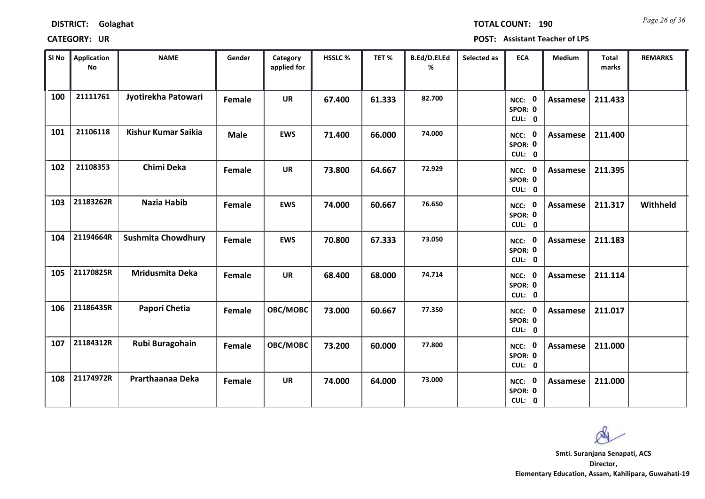*Page 26 of 36* **TOTAL COUNT: 190**

| SI <sub>No</sub> | <b>Application</b><br>No | <b>NAME</b>                | Gender      | Category<br>applied for | HSSLC% | TET%   | B.Ed/D.El.Ed<br>% | Selected as | <b>ECA</b>                  | Medium          | Total<br>marks | <b>REMARKS</b> |
|------------------|--------------------------|----------------------------|-------------|-------------------------|--------|--------|-------------------|-------------|-----------------------------|-----------------|----------------|----------------|
| 100              | 21111761                 | Jyotirekha Patowari        | Female      | <b>UR</b>               | 67.400 | 61.333 | 82.700            |             | NCC: 0<br>SPOR: 0<br>CUL: 0 | Assamese        | 211.433        |                |
| 101              | 21106118                 | <b>Kishur Kumar Saikia</b> | <b>Male</b> | <b>EWS</b>              | 71.400 | 66.000 | 74.000            |             | NCC: 0<br>SPOR: 0<br>CUL: 0 | <b>Assamese</b> | 211.400        |                |
| 102              | 21108353                 | Chimi Deka                 | Female      | <b>UR</b>               | 73.800 | 64.667 | 72.929            |             | NCC: 0<br>SPOR: 0<br>CUL: 0 | Assamese        | 211.395        |                |
| 103              | 21183262R                | Nazia Habib                | Female      | <b>EWS</b>              | 74.000 | 60.667 | 76.650            |             | NCC: 0<br>SPOR: 0<br>CUL: 0 | Assamese        | 211.317        | Withheld       |
| 104              | 21194664R                | <b>Sushmita Chowdhury</b>  | Female      | <b>EWS</b>              | 70.800 | 67.333 | 73.050            |             | NCC: 0<br>SPOR: 0<br>CUL: 0 | Assamese        | 211.183        |                |
| 105              | 21170825R                | Mridusmita Deka            | Female      | <b>UR</b>               | 68.400 | 68.000 | 74.714            |             | NCC: 0<br>SPOR: 0<br>CUL: 0 | Assamese        | 211.114        |                |
| 106              | 21186435R                | Papori Chetia              | Female      | OBC/MOBC                | 73.000 | 60.667 | 77.350            |             | NCC: 0<br>SPOR: 0<br>CUL: 0 | <b>Assamese</b> | 211.017        |                |
| 107              | 21184312R                | Rubi Buragohain            | Female      | OBC/MOBC                | 73.200 | 60.000 | 77.800            |             | NCC: 0<br>SPOR: 0<br>CUL: 0 | <b>Assamese</b> | 211.000        |                |
| 108              | 21174972R                | Prarthaanaa Deka           | Female      | <b>UR</b>               | 74.000 | 64.000 | 73.000            |             | NCC: 0<br>SPOR: 0<br>CUL: 0 | Assamese        | 211.000        |                |

Ø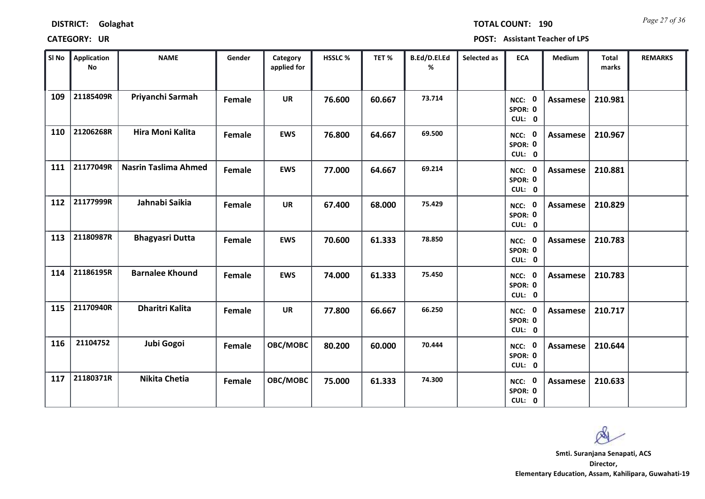*Page 27 of 36* **TOTAL COUNT: 190**

| SI No | <b>Application</b><br>No | <b>NAME</b>                 | Gender | Category<br>applied for | HSSLC% | TET%   | B.Ed/D.El.Ed<br>% | Selected as | <b>ECA</b>                  | Medium          | Total<br>marks | <b>REMARKS</b> |
|-------|--------------------------|-----------------------------|--------|-------------------------|--------|--------|-------------------|-------------|-----------------------------|-----------------|----------------|----------------|
| 109   | 21185409R                | Priyanchi Sarmah            | Female | <b>UR</b>               | 76.600 | 60.667 | 73.714            |             | NCC: 0<br>SPOR: 0<br>CUL: 0 | Assamese        | 210.981        |                |
| 110   | 21206268R                | Hira Moni Kalita            | Female | <b>EWS</b>              | 76.800 | 64.667 | 69.500            |             | NCC: 0<br>SPOR: 0<br>CUL: 0 | Assamese        | 210.967        |                |
| 111   | 21177049R                | <b>Nasrin Taslima Ahmed</b> | Female | <b>EWS</b>              | 77.000 | 64.667 | 69.214            |             | NCC: 0<br>SPOR: 0<br>CUL: 0 | Assamese        | 210.881        |                |
| 112   | 21177999R                | Jahnabi Saikia              | Female | <b>UR</b>               | 67.400 | 68.000 | 75.429            |             | NCC: 0<br>SPOR: 0<br>CUL: 0 | <b>Assamese</b> | 210.829        |                |
| 113   | 21180987R                | <b>Bhagyasri Dutta</b>      | Female | <b>EWS</b>              | 70.600 | 61.333 | 78.850            |             | NCC: 0<br>SPOR: 0<br>CUL: 0 | <b>Assamese</b> | 210.783        |                |
| 114   | 21186195R                | <b>Barnalee Khound</b>      | Female | <b>EWS</b>              | 74.000 | 61.333 | 75.450            |             | NCC: 0<br>SPOR: 0<br>CUL: 0 | Assamese        | 210.783        |                |
| 115   | 21170940R                | <b>Dharitri Kalita</b>      | Female | <b>UR</b>               | 77.800 | 66.667 | 66.250            |             | NCC: 0<br>SPOR: 0<br>CUL: 0 | Assamese        | 210.717        |                |
| 116   | 21104752                 | Jubi Gogoi                  | Female | OBC/MOBC                | 80.200 | 60.000 | 70.444            |             | NCC: 0<br>SPOR: 0<br>CUL: 0 | Assamese        | 210.644        |                |
| 117   | 21180371R                | <b>Nikita Chetia</b>        | Female | OBC/MOBC                | 75.000 | 61.333 | 74.300            |             | NCC: 0<br>SPOR: 0<br>CUL: 0 | Assamese        | 210.633        |                |

 $\infty$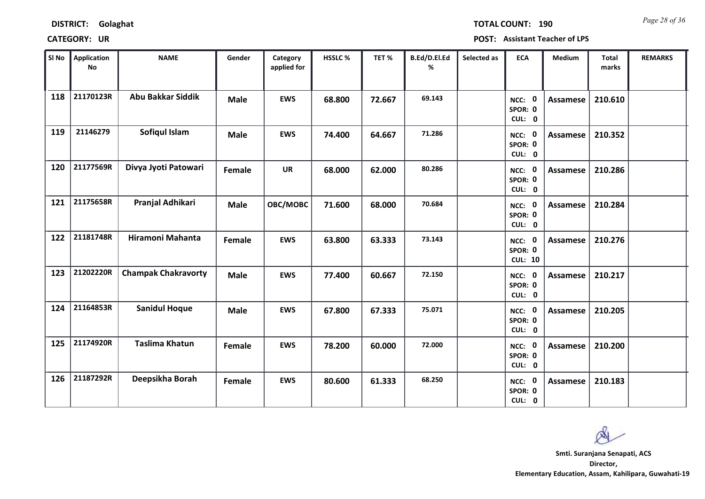*Page 28 of 36* **TOTAL COUNT: 190**

| SI No | <b>Application</b><br>No | <b>NAME</b>                | Gender      | Category<br>applied for | HSSLC% | TET%   | B.Ed/D.El.Ed<br>% | Selected as | <b>ECA</b>                          | Medium          | <b>Total</b><br>marks | <b>REMARKS</b> |
|-------|--------------------------|----------------------------|-------------|-------------------------|--------|--------|-------------------|-------------|-------------------------------------|-----------------|-----------------------|----------------|
| 118   | 21170123R                | <b>Abu Bakkar Siddik</b>   | <b>Male</b> | <b>EWS</b>              | 68.800 | 72.667 | 69.143            |             | NCC: 0<br>SPOR: 0<br>CUL: 0         | <b>Assamese</b> | 210.610               |                |
| 119   | 21146279                 | Sofiqul Islam              | <b>Male</b> | <b>EWS</b>              | 74.400 | 64.667 | 71.286            |             | NCC: 0<br>SPOR: 0<br>CUL: 0         | Assamese        | 210.352               |                |
| 120   | 21177569R                | Divya Jyoti Patowari       | Female      | <b>UR</b>               | 68.000 | 62.000 | 80.286            |             | NCC: 0<br>SPOR: 0<br>CUL: 0         | <b>Assamese</b> | 210.286               |                |
| 121   | 21175658R                | Pranjal Adhikari           | <b>Male</b> | OBC/MOBC                | 71.600 | 68.000 | 70.684            |             | NCC: 0<br>SPOR: 0<br>CUL: 0         | <b>Assamese</b> | 210.284               |                |
| 122   | 21181748R                | Hiramoni Mahanta           | Female      | <b>EWS</b>              | 63.800 | 63.333 | 73.143            |             | NCC: 0<br>SPOR: 0<br><b>CUL: 10</b> | <b>Assamese</b> | 210.276               |                |
| 123   | 21202220R                | <b>Champak Chakravorty</b> | <b>Male</b> | <b>EWS</b>              | 77.400 | 60.667 | 72.150            |             | NCC: 0<br>SPOR: 0<br>CUL: 0         | <b>Assamese</b> | 210.217               |                |
| 124   | 21164853R                | <b>Sanidul Hoque</b>       | <b>Male</b> | <b>EWS</b>              | 67.800 | 67.333 | 75.071            |             | NCC: 0<br>SPOR: 0<br>CUL: 0         | Assamese        | 210.205               |                |
| 125   | 21174920R                | <b>Taslima Khatun</b>      | Female      | <b>EWS</b>              | 78.200 | 60.000 | 72.000            |             | NCC: 0<br>SPOR: 0<br>CUL: 0         | <b>Assamese</b> | 210.200               |                |
| 126   | 21187292R                | Deepsikha Borah            | Female      | <b>EWS</b>              | 80.600 | 61.333 | 68.250            |             | NCC: 0<br>SPOR: 0<br>CUL: 0         | <b>Assamese</b> | 210.183               |                |

Ø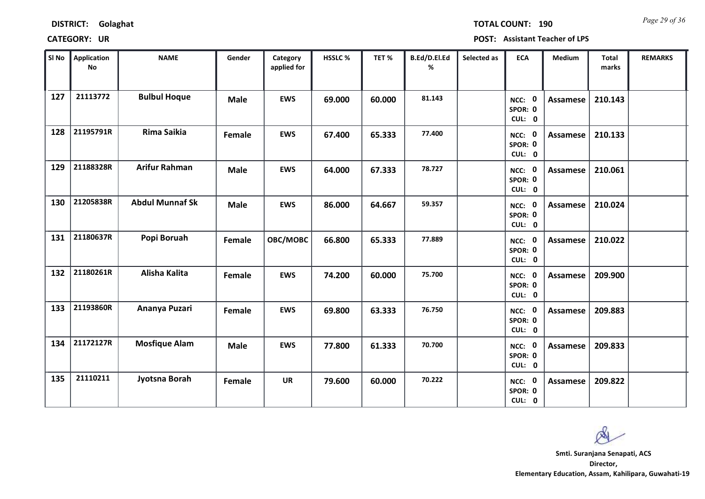*Page 29 of 36* **TOTAL COUNT: 190**

| SI No | Application<br>$\mathsf{No}$ | <b>NAME</b>            | Gender      | Category<br>applied for | HSSLC % | TET%   | B.Ed/D.El.Ed<br>% | Selected as | <b>ECA</b>                  | <b>Medium</b>   | <b>Total</b><br>marks | <b>REMARKS</b> |
|-------|------------------------------|------------------------|-------------|-------------------------|---------|--------|-------------------|-------------|-----------------------------|-----------------|-----------------------|----------------|
| 127   | 21113772                     | <b>Bulbul Hoque</b>    | <b>Male</b> | <b>EWS</b>              | 69.000  | 60.000 | 81.143            |             | NCC: 0<br>SPOR: 0<br>CUL: 0 | <b>Assamese</b> | 210.143               |                |
| 128   | 21195791R                    | Rima Saikia            | Female      | <b>EWS</b>              | 67.400  | 65.333 | 77.400            |             | NCC: 0<br>SPOR: 0<br>CUL: 0 | Assamese        | 210.133               |                |
| 129   | 21188328R                    | <b>Arifur Rahman</b>   | <b>Male</b> | <b>EWS</b>              | 64.000  | 67.333 | 78.727            |             | NCC: 0<br>SPOR: 0<br>CUL: 0 | Assamese        | 210.061               |                |
| 130   | 21205838R                    | <b>Abdul Munnaf Sk</b> | <b>Male</b> | <b>EWS</b>              | 86.000  | 64.667 | 59.357            |             | NCC: 0<br>SPOR: 0<br>CUL: 0 | Assamese        | 210.024               |                |
| 131   | 21180637R                    | Popi Boruah            | Female      | OBC/MOBC                | 66.800  | 65.333 | 77.889            |             | NCC: 0<br>SPOR: 0<br>CUL: 0 | Assamese        | 210.022               |                |
| 132   | 21180261R                    | Alisha Kalita          | Female      | <b>EWS</b>              | 74.200  | 60.000 | 75.700            |             | NCC: 0<br>SPOR: 0<br>CUL: 0 | <b>Assamese</b> | 209.900               |                |
| 133   | 21193860R                    | Ananya Puzari          | Female      | <b>EWS</b>              | 69.800  | 63.333 | 76.750            |             | NCC: 0<br>SPOR: 0<br>CUL: 0 | <b>Assamese</b> | 209.883               |                |
| 134   | 21172127R                    | <b>Mosfique Alam</b>   | <b>Male</b> | <b>EWS</b>              | 77.800  | 61.333 | 70.700            |             | NCC: 0<br>SPOR: 0<br>CUL: 0 | <b>Assamese</b> | 209.833               |                |
| 135   | 21110211                     | Jyotsna Borah          | Female      | <b>UR</b>               | 79.600  | 60.000 | 70.222            |             | NCC: 0<br>SPOR: 0<br>CUL: 0 | <b>Assamese</b> | 209.822               |                |

 $\infty$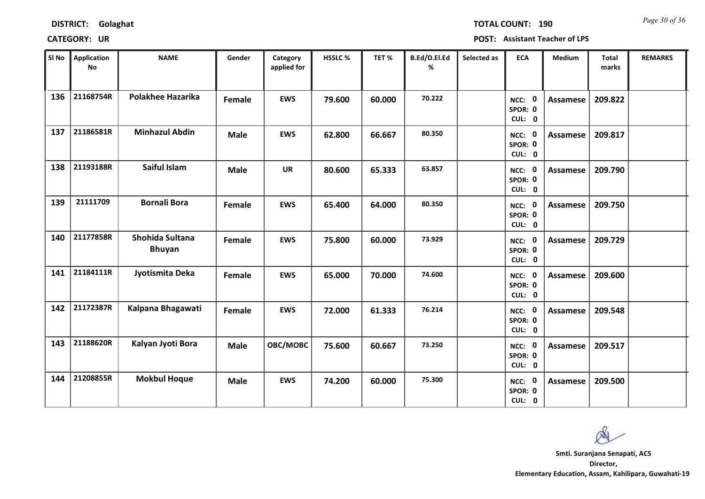*Page 30 of 36* **TOTAL COUNT: 190**

| SI <sub>No</sub> | <b>Application</b><br>No | <b>NAME</b>                      | Gender      | Category<br>applied for | HSSLC% | TET%   | B.Ed/D.El.Ed<br>% | Selected as | <b>ECA</b>                               | Medium          | Total<br>marks | <b>REMARKS</b> |
|------------------|--------------------------|----------------------------------|-------------|-------------------------|--------|--------|-------------------|-------------|------------------------------------------|-----------------|----------------|----------------|
| 136              | 21168754R                | <b>Polakhee Hazarika</b>         | Female      | <b>EWS</b>              | 79.600 | 60.000 | 70.222            |             | $\mathbf 0$<br>NCC:<br>SPOR: 0<br>CUL: 0 | <b>Assamese</b> | 209.822        |                |
| 137              | 21186581R                | <b>Minhazul Abdin</b>            | <b>Male</b> | <b>EWS</b>              | 62.800 | 66.667 | 80.350            |             | NCC: 0<br>SPOR: 0<br>CUL: 0              | Assamese        | 209.817        |                |
| 138              | 21193188R                | Saiful Islam                     | <b>Male</b> | <b>UR</b>               | 80.600 | 65.333 | 63.857            |             | NCC: 0<br>SPOR: 0<br>CUL: 0              | <b>Assamese</b> | 209.790        |                |
| 139              | 21111709                 | <b>Bornali Bora</b>              | Female      | <b>EWS</b>              | 65.400 | 64.000 | 80.350            |             | NCC: 0<br>SPOR: 0<br>CUL: 0              | <b>Assamese</b> | 209.750        |                |
| 140              | 21177858R                | Shohida Sultana<br><b>Bhuyan</b> | Female      | <b>EWS</b>              | 75.800 | 60.000 | 73.929            |             | NCC: 0<br>SPOR: 0<br>CUL: 0              | <b>Assamese</b> | 209.729        |                |
| 141              | 21184111R                | Jyotismita Deka                  | Female      | <b>EWS</b>              | 65.000 | 70.000 | 74.600            |             | NCC: 0<br>SPOR: 0<br>CUL: 0              | Assamese        | 209.600        |                |
| 142              | 21172387R                | Kalpana Bhagawati                | Female      | <b>EWS</b>              | 72.000 | 61.333 | 76.214            |             | NCC: 0<br>SPOR: 0<br>CUL: 0              | <b>Assamese</b> | 209.548        |                |
| 143              | 21188620R                | Kalyan Jyoti Bora                | <b>Male</b> | OBC/MOBC                | 75.600 | 60.667 | 73.250            |             | NCC: 0<br>SPOR: 0<br>CUL: 0              | <b>Assamese</b> | 209.517        |                |
| 144              | 21208855R                | <b>Mokbul Hoque</b>              | <b>Male</b> | <b>EWS</b>              | 74.200 | 60.000 | 75.300            |             | NCC: 0<br>SPOR: 0<br>CUL: 0              | Assamese        | 209.500        |                |

Ø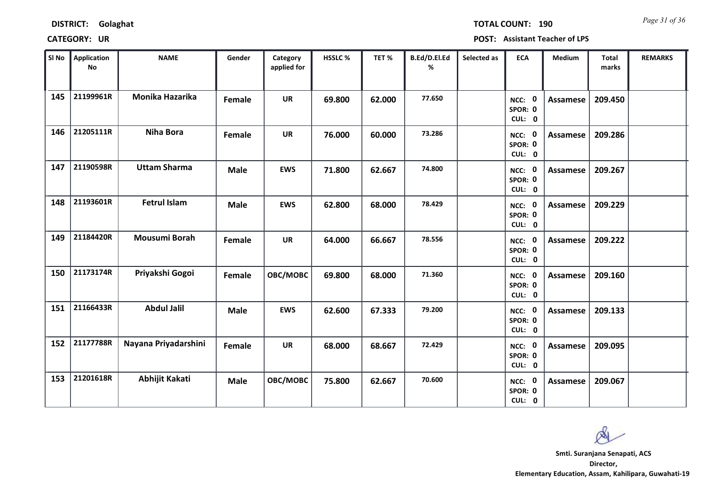*Page 31 of 36* **TOTAL COUNT: 190**

| SI No | <b>Application</b><br>No | <b>NAME</b>          | Gender        | Category<br>applied for | <b>HSSLC %</b> | TET%   | B.Ed/D.El.Ed<br>% | Selected as | <b>ECA</b>                  | <b>Medium</b>   | <b>Total</b><br>marks | <b>REMARKS</b> |
|-------|--------------------------|----------------------|---------------|-------------------------|----------------|--------|-------------------|-------------|-----------------------------|-----------------|-----------------------|----------------|
| 145   | 21199961R                | Monika Hazarika      | <b>Female</b> | <b>UR</b>               | 69.800         | 62.000 | 77.650            |             | NCC: 0<br>SPOR: 0<br>CUL: 0 | <b>Assamese</b> | 209.450               |                |
| 146   | 21205111R                | <b>Niha Bora</b>     | Female        | <b>UR</b>               | 76.000         | 60.000 | 73.286            |             | NCC: 0<br>SPOR: 0<br>CUL: 0 | Assamese        | 209.286               |                |
| 147   | 21190598R                | <b>Uttam Sharma</b>  | <b>Male</b>   | <b>EWS</b>              | 71.800         | 62.667 | 74.800            |             | NCC: 0<br>SPOR: 0<br>CUL: 0 | <b>Assamese</b> | 209.267               |                |
| 148   | 21193601R                | <b>Fetrul Islam</b>  | <b>Male</b>   | <b>EWS</b>              | 62.800         | 68.000 | 78.429            |             | NCC: 0<br>SPOR: 0<br>CUL: 0 | Assamese        | 209.229               |                |
| 149   | 21184420R                | Mousumi Borah        | Female        | <b>UR</b>               | 64.000         | 66.667 | 78.556            |             | NCC: 0<br>SPOR: 0<br>CUL: 0 | <b>Assamese</b> | 209.222               |                |
| 150   | 21173174R                | Priyakshi Gogoi      | Female        | OBC/MOBC                | 69.800         | 68.000 | 71.360            |             | NCC: 0<br>SPOR: 0<br>CUL: 0 | Assamese        | 209.160               |                |
| 151   | 21166433R                | <b>Abdul Jalil</b>   | <b>Male</b>   | <b>EWS</b>              | 62.600         | 67.333 | 79.200            |             | NCC: 0<br>SPOR: 0<br>CUL: 0 | Assamese        | 209.133               |                |
| 152   | 21177788R                | Nayana Priyadarshini | Female        | <b>UR</b>               | 68.000         | 68.667 | 72.429            |             | NCC: 0<br>SPOR: 0<br>CUL: 0 | Assamese        | 209.095               |                |
| 153   | 21201618R                | Abhijit Kakati       | <b>Male</b>   | OBC/MOBC                | 75.800         | 62.667 | 70.600            |             | NCC: 0<br>SPOR: 0<br>CUL: 0 | Assamese        | 209.067               |                |

 $\infty$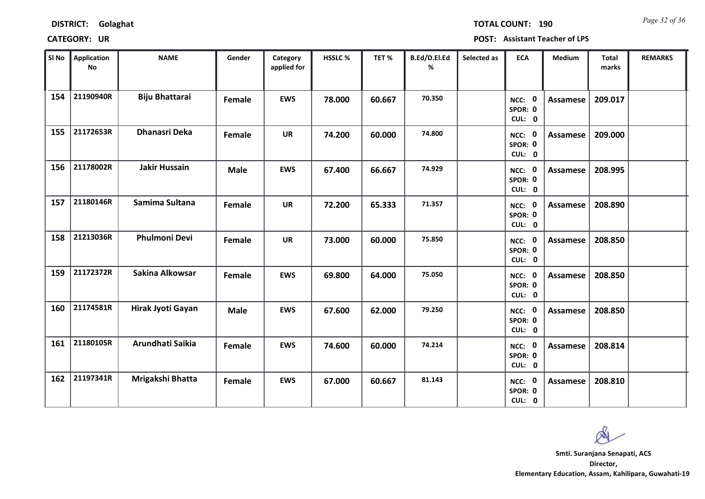*Page 32 of 36* **TOTAL COUNT: 190**

| SI No | <b>Application</b><br>No | <b>NAME</b>           | Gender      | Category<br>applied for | HSSLC % | TET %  | B.Ed/D.El.Ed<br>% | Selected as | <b>ECA</b>                  | Medium          | Total<br>marks | <b>REMARKS</b> |
|-------|--------------------------|-----------------------|-------------|-------------------------|---------|--------|-------------------|-------------|-----------------------------|-----------------|----------------|----------------|
| 154   | 21190940R                | <b>Biju Bhattarai</b> | Female      | <b>EWS</b>              | 78.000  | 60.667 | 70.350            |             | NCC: 0<br>SPOR: 0<br>CUL: 0 | <b>Assamese</b> | 209.017        |                |
| 155   | 21172653R                | <b>Dhanasri Deka</b>  | Female      | <b>UR</b>               | 74.200  | 60.000 | 74.800            |             | NCC: 0<br>SPOR: 0<br>CUL: 0 | Assamese        | 209.000        |                |
| 156   | 21178002R                | <b>Jakir Hussain</b>  | <b>Male</b> | <b>EWS</b>              | 67.400  | 66.667 | 74.929            |             | NCC: 0<br>SPOR: 0<br>CUL: 0 | Assamese        | 208.995        |                |
| 157   | 21180146R                | Samima Sultana        | Female      | <b>UR</b>               | 72.200  | 65.333 | 71.357            |             | NCC: 0<br>SPOR: 0<br>CUL: 0 | Assamese        | 208.890        |                |
| 158   | 21213036R                | <b>Phulmoni Devi</b>  | Female      | <b>UR</b>               | 73.000  | 60.000 | 75.850            |             | NCC: 0<br>SPOR: 0<br>CUL: 0 | <b>Assamese</b> | 208.850        |                |
| 159   | 21172372R                | Sakina Alkowsar       | Female      | <b>EWS</b>              | 69.800  | 64.000 | 75.050            |             | NCC: 0<br>SPOR: 0<br>CUL: 0 | <b>Assamese</b> | 208.850        |                |
| 160   | 21174581R                | Hirak Jyoti Gayan     | <b>Male</b> | <b>EWS</b>              | 67.600  | 62.000 | 79.250            |             | NCC: 0<br>SPOR: 0<br>CUL: 0 | Assamese        | 208.850        |                |
| 161   | 21180105R                | Arundhati Saikia      | Female      | <b>EWS</b>              | 74.600  | 60.000 | 74.214            |             | NCC: 0<br>SPOR: 0<br>CUL: 0 | Assamese        | 208.814        |                |
| 162   | 21197341R                | Mrigakshi Bhatta      | Female      | <b>EWS</b>              | 67.000  | 60.667 | 81.143            |             | NCC: 0<br>SPOR: 0<br>CUL: 0 | Assamese        | 208.810        |                |

os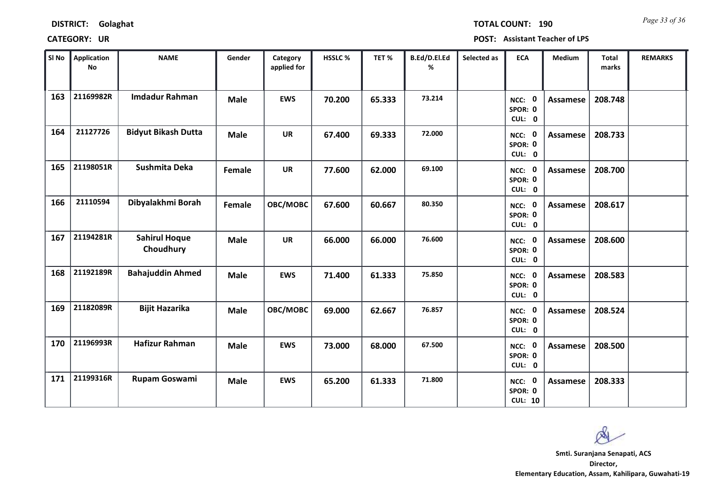*Page 33 of 36* **TOTAL COUNT: 190**

| SI No | <b>Application</b><br>No | <b>NAME</b>                       | Gender      | Category<br>applied for | HSSLC% | TET%   | B.Ed/D.El.Ed<br>% | Selected as | <b>ECA</b>                          | Medium          | <b>Total</b><br>marks | <b>REMARKS</b> |
|-------|--------------------------|-----------------------------------|-------------|-------------------------|--------|--------|-------------------|-------------|-------------------------------------|-----------------|-----------------------|----------------|
| 163   | 21169982R                | <b>Imdadur Rahman</b>             | <b>Male</b> | <b>EWS</b>              | 70.200 | 65.333 | 73.214            |             | NCC: 0<br>SPOR: 0<br>CUL: 0         | <b>Assamese</b> | 208.748               |                |
| 164   | 21127726                 | <b>Bidyut Bikash Dutta</b>        | <b>Male</b> | <b>UR</b>               | 67.400 | 69.333 | 72.000            |             | NCC: 0<br>SPOR: 0<br>CUL: 0         | Assamese        | 208.733               |                |
| 165   | 21198051R                | Sushmita Deka                     | Female      | <b>UR</b>               | 77.600 | 62.000 | 69.100            |             | NCC: 0<br>SPOR: 0<br>CUL: 0         | <b>Assamese</b> | 208.700               |                |
| 166   | 21110594                 | Dibyalakhmi Borah                 | Female      | OBC/MOBC                | 67.600 | 60.667 | 80.350            |             | NCC: 0<br>SPOR: 0<br>CUL: 0         | <b>Assamese</b> | 208.617               |                |
| 167   | 21194281R                | <b>Sahirul Hoque</b><br>Choudhury | <b>Male</b> | <b>UR</b>               | 66.000 | 66.000 | 76.600            |             | NCC: 0<br>SPOR: 0<br>CUL: 0         | <b>Assamese</b> | 208.600               |                |
| 168   | 21192189R                | <b>Bahajuddin Ahmed</b>           | <b>Male</b> | <b>EWS</b>              | 71.400 | 61.333 | 75.850            |             | NCC: 0<br>SPOR: 0<br>CUL: 0         | <b>Assamese</b> | 208.583               |                |
| 169   | 21182089R                | <b>Bijit Hazarika</b>             | <b>Male</b> | OBC/MOBC                | 69.000 | 62.667 | 76.857            |             | NCC: 0<br>SPOR: 0<br>CUL: 0         | <b>Assamese</b> | 208.524               |                |
| 170   | 21196993R                | <b>Hafizur Rahman</b>             | <b>Male</b> | <b>EWS</b>              | 73.000 | 68.000 | 67.500            |             | NCC: 0<br>SPOR: 0<br>CUL: 0         | <b>Assamese</b> | 208.500               |                |
| 171   | 21199316R                | <b>Rupam Goswami</b>              | <b>Male</b> | <b>EWS</b>              | 65.200 | 61.333 | 71.800            |             | NCC: 0<br>SPOR: 0<br><b>CUL: 10</b> | Assamese        | 208.333               |                |

os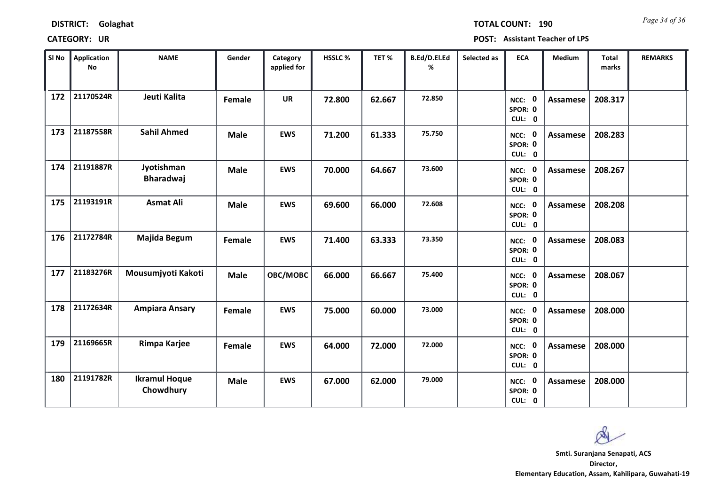| <b>DISTRICT:</b> | Golaghat |
|------------------|----------|
|------------------|----------|

*Page 34 of 36* **TOTAL COUNT: 190**

| SI No | <b>Application</b><br>No | <b>NAME</b>                       | Gender      | Category<br>applied for | HSSLC % | TET%   | B.Ed/D.El.Ed<br>% | Selected as | <b>ECA</b>                     | <b>Medium</b>   | <b>Total</b><br>marks | <b>REMARKS</b> |
|-------|--------------------------|-----------------------------------|-------------|-------------------------|---------|--------|-------------------|-------------|--------------------------------|-----------------|-----------------------|----------------|
| 172   | 21170524R                | Jeuti Kalita                      | Female      | <b>UR</b>               | 72.800  | 62.667 | 72.850            |             | NCC: 0<br>SPOR: 0<br>CUL: 0    | <b>Assamese</b> | 208.317               |                |
| 173   | 21187558R                | <b>Sahil Ahmed</b>                | <b>Male</b> | <b>EWS</b>              | 71.200  | 61.333 | 75.750            |             | NCC: 0<br>SPOR: 0<br>CUL: 0    | Assamese        | 208.283               |                |
| 174   | 21191887R                | Jyotishman<br><b>Bharadwaj</b>    | <b>Male</b> | <b>EWS</b>              | 70.000  | 64.667 | 73.600            |             | NCC: 0<br>SPOR: 0<br>CUL: 0    | Assamese        | 208.267               |                |
| 175   | 21193191R                | <b>Asmat Ali</b>                  | <b>Male</b> | <b>EWS</b>              | 69.600  | 66.000 | 72.608            |             | 0<br>NCC:<br>SPOR: 0<br>CUL: 0 | Assamese        | 208.208               |                |
| 176   | 21172784R                | Majida Begum                      | Female      | <b>EWS</b>              | 71.400  | 63.333 | 73.350            |             | NCC: 0<br>SPOR: 0<br>CUL: 0    | <b>Assamese</b> | 208.083               |                |
| 177   | 21183276R                | Mousumjyoti Kakoti                | <b>Male</b> | OBC/MOBC                | 66.000  | 66.667 | 75.400            |             | NCC: 0<br>SPOR: 0<br>CUL: 0    | <b>Assamese</b> | 208.067               |                |
| 178   | 21172634R                | <b>Ampiara Ansary</b>             | Female      | <b>EWS</b>              | 75.000  | 60.000 | 73.000            |             | NCC: 0<br>SPOR: 0<br>CUL: 0    | <b>Assamese</b> | 208.000               |                |
| 179   | 21169665R                | Rimpa Karjee                      | Female      | <b>EWS</b>              | 64.000  | 72.000 | 72.000            |             | NCC: 0<br>SPOR: 0<br>CUL: 0    | <b>Assamese</b> | 208.000               |                |
| 180   | 21191782R                | <b>Ikramul Hoque</b><br>Chowdhury | <b>Male</b> | <b>EWS</b>              | 67.000  | 62.000 | 79.000            |             | NCC: 0<br>SPOR: 0<br>CUL: 0    | <b>Assamese</b> | 208.000               |                |

 $\infty$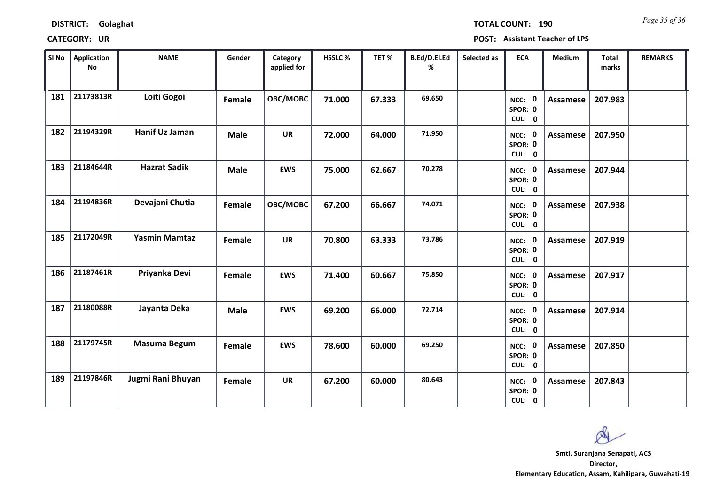*Page 35 of 36* **TOTAL COUNT: 190**

| SI No | Application<br>No | <b>NAME</b>          | Gender      | Category<br>applied for | HSSLC % | TET%   | B.Ed/D.El.Ed<br>% | Selected as | <b>ECA</b>                  | <b>Medium</b>   | <b>Total</b><br>marks | <b>REMARKS</b> |
|-------|-------------------|----------------------|-------------|-------------------------|---------|--------|-------------------|-------------|-----------------------------|-----------------|-----------------------|----------------|
| 181   | 21173813R         | Loiti Gogoi          | Female      | OBC/MOBC                | 71.000  | 67.333 | 69.650            |             | NCC: 0<br>SPOR: 0<br>CUL: 0 | <b>Assamese</b> | 207.983               |                |
| 182   | 21194329R         | Hanif Uz Jaman       | <b>Male</b> | <b>UR</b>               | 72.000  | 64.000 | 71.950            |             | NCC: 0<br>SPOR: 0<br>CUL: 0 | Assamese        | 207.950               |                |
| 183   | 21184644R         | <b>Hazrat Sadik</b>  | <b>Male</b> | <b>EWS</b>              | 75.000  | 62.667 | 70.278            |             | NCC: 0<br>SPOR: 0<br>CUL: 0 | Assamese        | 207.944               |                |
| 184   | 21194836R         | Devajani Chutia      | Female      | OBC/MOBC                | 67.200  | 66.667 | 74.071            |             | NCC: 0<br>SPOR: 0<br>CUL: 0 | Assamese        | 207.938               |                |
| 185   | 21172049R         | <b>Yasmin Mamtaz</b> | Female      | <b>UR</b>               | 70.800  | 63.333 | 73.786            |             | NCC: 0<br>SPOR: 0<br>CUL: 0 | Assamese        | 207.919               |                |
| 186   | 21187461R         | Priyanka Devi        | Female      | <b>EWS</b>              | 71.400  | 60.667 | 75.850            |             | NCC: 0<br>SPOR: 0<br>CUL: 0 | Assamese        | 207.917               |                |
| 187   | 21180088R         | Jayanta Deka         | <b>Male</b> | <b>EWS</b>              | 69.200  | 66.000 | 72.714            |             | NCC: 0<br>SPOR: 0<br>CUL: 0 | <b>Assamese</b> | 207.914               |                |
| 188   | 21179745R         | Masuma Begum         | Female      | <b>EWS</b>              | 78.600  | 60.000 | 69.250            |             | NCC: 0<br>SPOR: 0<br>CUL: 0 | <b>Assamese</b> | 207.850               |                |
| 189   | 21197846R         | Jugmi Rani Bhuyan    | Female      | <b>UR</b>               | 67.200  | 60.000 | 80.643            |             | NCC: 0<br>SPOR: 0<br>CUL: 0 | <b>Assamese</b> | 207.843               |                |

 $\infty$